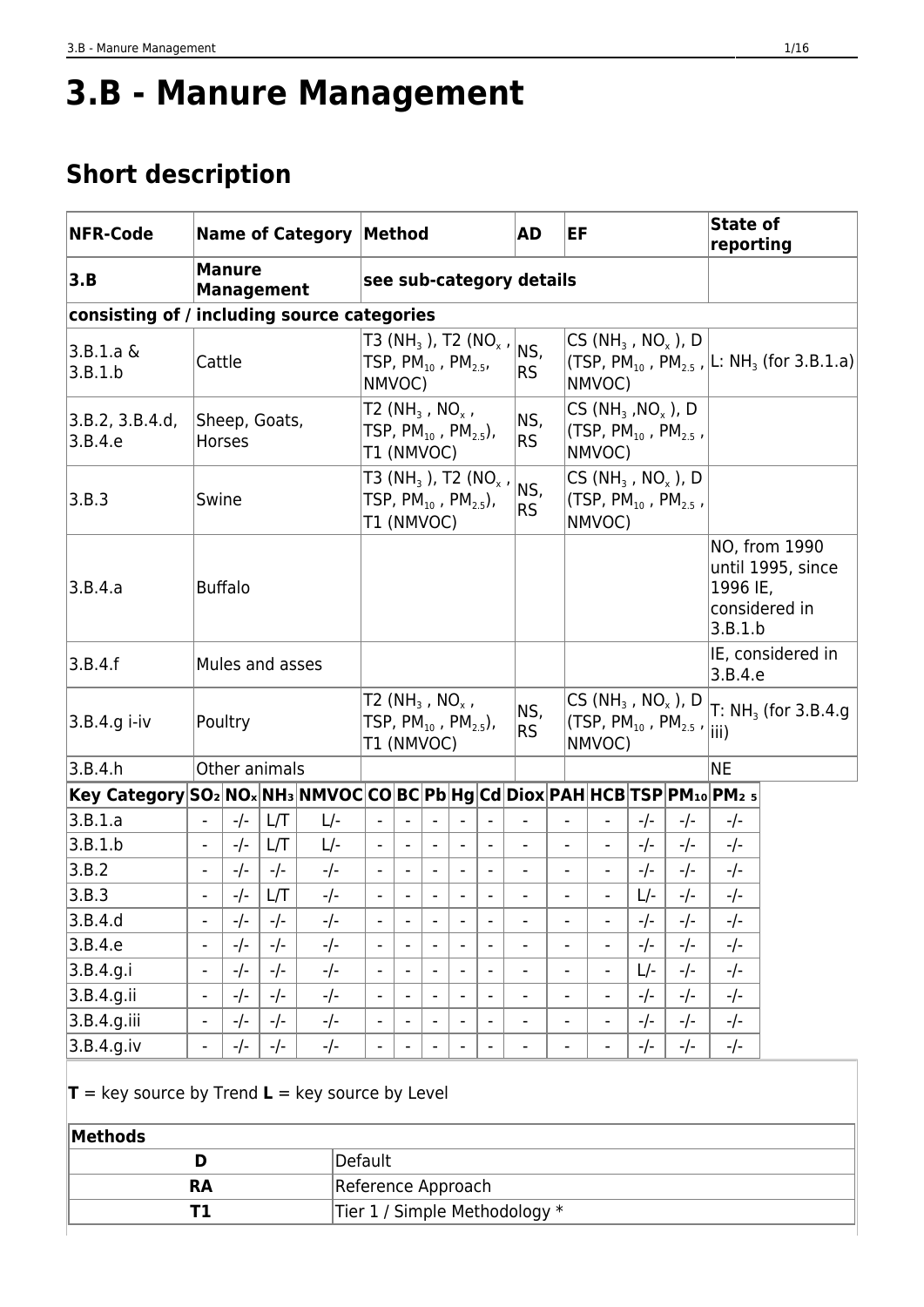# **3.B - Manure Management**

# **Short description**

| <b>NFR-Code</b>                                                           | <b>Name of Category Method</b><br><b>Manure</b><br><b>Management</b> |        |               |                                                                                         |                                                                                        |                          |                          |                              | <b>AD</b>                                    |                              | EF                           |        |                              |                                                                                       | State of<br>reporting                                |                                                     |                                                                               |
|---------------------------------------------------------------------------|----------------------------------------------------------------------|--------|---------------|-----------------------------------------------------------------------------------------|----------------------------------------------------------------------------------------|--------------------------|--------------------------|------------------------------|----------------------------------------------|------------------------------|------------------------------|--------|------------------------------|---------------------------------------------------------------------------------------|------------------------------------------------------|-----------------------------------------------------|-------------------------------------------------------------------------------|
| 3.B                                                                       |                                                                      |        |               |                                                                                         |                                                                                        |                          |                          |                              |                                              | see sub-category details     |                              |        |                              |                                                                                       |                                                      |                                                     |                                                                               |
| consisting of / including source categories                               |                                                                      |        |               |                                                                                         |                                                                                        |                          |                          |                              |                                              |                              |                              |        |                              |                                                                                       |                                                      |                                                     |                                                                               |
| 3.B.1.a &<br>3.B.1.b                                                      | Cattle                                                               |        |               |                                                                                         | TSP, PM $_{10}$ , PM $_{2.5}$ ,<br>NMVOC)                                              |                          |                          |                              | T3 (NH <sub>3</sub> ), T2 (NO <sub>x</sub> , | NS,<br><b>RS</b>             |                              |        | NMVOC)                       |                                                                                       | CS (NH <sub>3</sub> , NO <sub>x</sub> ), D           |                                                     | (TSP, PM <sub>10</sub> , PM <sub>2.5</sub> , L: NH <sub>3</sub> (for 3.B.1.a) |
| 3.B.2, 3.B.4.d.<br>3.B.4.e                                                |                                                                      | Horses | Sheep, Goats, |                                                                                         | T2 (NH <sub>3</sub> , NO <sub>x</sub> ,<br>TSP, $PM_{10}$ , $PM_{25}$ ),<br>T1 (NMVOC) |                          |                          |                              |                                              | NS,<br><b>RS</b>             |                              |        | $CS(NH3, NOx)$ , D<br>NMVOC) |                                                                                       | (TSP, $PM_{10}$ , $PM_{25}$ ,                        |                                                     |                                                                               |
| 3.B.3                                                                     | Swine                                                                |        |               |                                                                                         | TSP, $PM_{10}$ , $PM_{2.5}$ ),<br>T1 (NMVOC)                                           |                          |                          |                              | T3 (NH <sub>3</sub> ), T2 (NO <sub>x</sub> , | NS,<br><b>RS</b>             |                              |        | NMVOC)                       |                                                                                       | $CS(NH3, NOx)$ , D<br>(TSP, $PM_{10}$ , $PM_{2.5}$ , |                                                     |                                                                               |
| 3.B.4.a                                                                   | <b>Buffalo</b><br>Mules and asses                                    |        |               |                                                                                         |                                                                                        |                          |                          |                              |                                              |                              |                              |        |                              |                                                                                       | 1996 IE,<br>3.B.1.b                                  | NO, from 1990<br>until 1995, since<br>considered in |                                                                               |
| 3.B.4.f                                                                   |                                                                      |        |               |                                                                                         |                                                                                        |                          |                          |                              |                                              |                              |                              |        |                              |                                                                                       | 3.B.4.e                                              | IE, considered in                                   |                                                                               |
| 3.B.4.g i-iv                                                              | Poultry                                                              |        |               | T2 (NH <sub>3</sub> , NO <sub>x</sub> ,<br>TSP, $PM_{10}$ , $PM_{2.5}$ ),<br>T1 (NMVOC) |                                                                                        |                          |                          |                              | NS,<br><b>RS</b>                             |                              |                              | NMVOC) |                              | CS (NH <sub>3</sub> , NO <sub>x</sub> ), D<br>(TSP, $PM_{10}$ , $PM_{2.5}$ , $ $ iii) |                                                      | $T: NH3$ (for 3.B.4.g)                              |                                                                               |
| 3.B.4.h                                                                   |                                                                      |        | Other animals |                                                                                         |                                                                                        |                          |                          |                              |                                              |                              |                              |        |                              |                                                                                       |                                                      | <b>NE</b>                                           |                                                                               |
| Key Category SO2 NOx NH3 NMVOC CO BC Pb Hg Cd Diox PAH HCB TSP PM10 PM2 5 |                                                                      |        |               |                                                                                         |                                                                                        |                          |                          |                              |                                              |                              |                              |        |                              |                                                                                       |                                                      |                                                     |                                                                               |
| 3.B.1.a                                                                   | $\blacksquare$                                                       | $-/-$  | L/T           | L/-                                                                                     |                                                                                        | $\overline{\phantom{a}}$ | $\overline{\phantom{0}}$ |                              | $\overline{\phantom{a}}$                     |                              |                              |        |                              | -/-                                                                                   | -/-                                                  | -/-                                                 |                                                                               |
| 3.B.1.b                                                                   | $\overline{\phantom{a}}$                                             | $-/-$  | L/T           | $L$ -                                                                                   |                                                                                        |                          | $\overline{\phantom{a}}$ |                              | $\overline{\phantom{a}}$                     | $\overline{\phantom{a}}$     | $\qquad \qquad \blacksquare$ |        |                              | -/-                                                                                   | -/-                                                  | -/-                                                 |                                                                               |
| 3.B.2                                                                     | $\overline{\phantom{0}}$                                             | $-/-$  | $-/-$         | $-/-$                                                                                   |                                                                                        |                          |                          |                              | $\overline{\phantom{a}}$                     |                              |                              |        |                              | $-/-$                                                                                 | $-/-$                                                | $-/-$                                               |                                                                               |
| 3.B.3                                                                     | $\overline{\phantom{0}}$                                             | $-/-$  | L/T           | $-/-$                                                                                   | $\overline{\phantom{0}}$                                                               | $\overline{\phantom{a}}$ |                          |                              | $\blacksquare$                               | $\overline{a}$               | $\qquad \qquad \blacksquare$ |        |                              | L/-                                                                                   | $-/-$                                                | $-/-$                                               |                                                                               |
| 3.B.4.d                                                                   | $\overline{\phantom{a}}$                                             | $-/-$  | $-/-$         | $-/-$                                                                                   | $\overline{\phantom{a}}$                                                               | $\blacksquare$           | $\overline{\phantom{a}}$ | $\qquad \qquad \blacksquare$ | $\qquad \qquad \blacksquare$                 | $\qquad \qquad \blacksquare$ | $\overline{\phantom{0}}$     |        | $\overline{\phantom{a}}$     | -/-                                                                                   | -/-                                                  | -/-                                                 |                                                                               |
| 3.B.4.e                                                                   | -                                                                    | $-/-$  | $-/-$         | $-/-$                                                                                   |                                                                                        |                          |                          |                              | $\qquad \qquad \blacksquare$                 |                              |                              |        |                              | -/-                                                                                   | $-/-$                                                | $-/-$                                               |                                                                               |
| 3.B.4.g.i                                                                 | $\overline{\phantom{0}}$                                             | $-/-$  | $-/-$         | $-/-$                                                                                   |                                                                                        |                          |                          |                              | $\overline{\phantom{0}}$                     |                              |                              |        |                              | L/-                                                                                   | $-/-$                                                | $-/-$                                               |                                                                               |
| $3.B.4.g.$ ii                                                             | $\overline{\phantom{0}}$                                             | $-/-$  | $-/-$         | $-/-$                                                                                   | $\overline{\phantom{a}}$                                                               | $\overline{\phantom{a}}$ | $\overline{\phantom{a}}$ | $\qquad \qquad \blacksquare$ | $\overline{\phantom{0}}$                     | $\qquad \qquad \blacksquare$ | $\overline{\phantom{a}}$     |        | $\overline{\phantom{a}}$     | $-/-$                                                                                 | -/-                                                  | $-/-$                                               |                                                                               |
| $3.B.4.g.$ iii                                                            | $\overline{\phantom{a}}$                                             | $-/-$  | $-/-$         | $-/-$                                                                                   |                                                                                        |                          |                          |                              | $\overline{\phantom{a}}$                     |                              |                              |        |                              | $-/-$                                                                                 | $-/-$                                                | $-/-$                                               |                                                                               |
| 3.B.4.g.iv                                                                | -                                                                    | $-/-$  | $-/-$         | $-/-$                                                                                   |                                                                                        | $\overline{\phantom{a}}$ |                          |                              | $\overline{\phantom{a}}$                     | $\qquad \qquad \blacksquare$ | $\qquad \qquad \blacksquare$ |        |                              | -/-                                                                                   | -/-                                                  | -/-                                                 |                                                                               |
| $\mathbf{T}$ = key source by Trend <b>L</b> = key source by Level         |                                                                      |        |               |                                                                                         |                                                                                        |                          |                          |                              |                                              |                              |                              |        |                              |                                                                                       |                                                      |                                                     |                                                                               |

| <b>Methods</b> |                               |
|----------------|-------------------------------|
|                | Default                       |
| <b>RA</b>      | Reference Approach            |
|                | Tier 1 / Simple Methodology * |
|                |                               |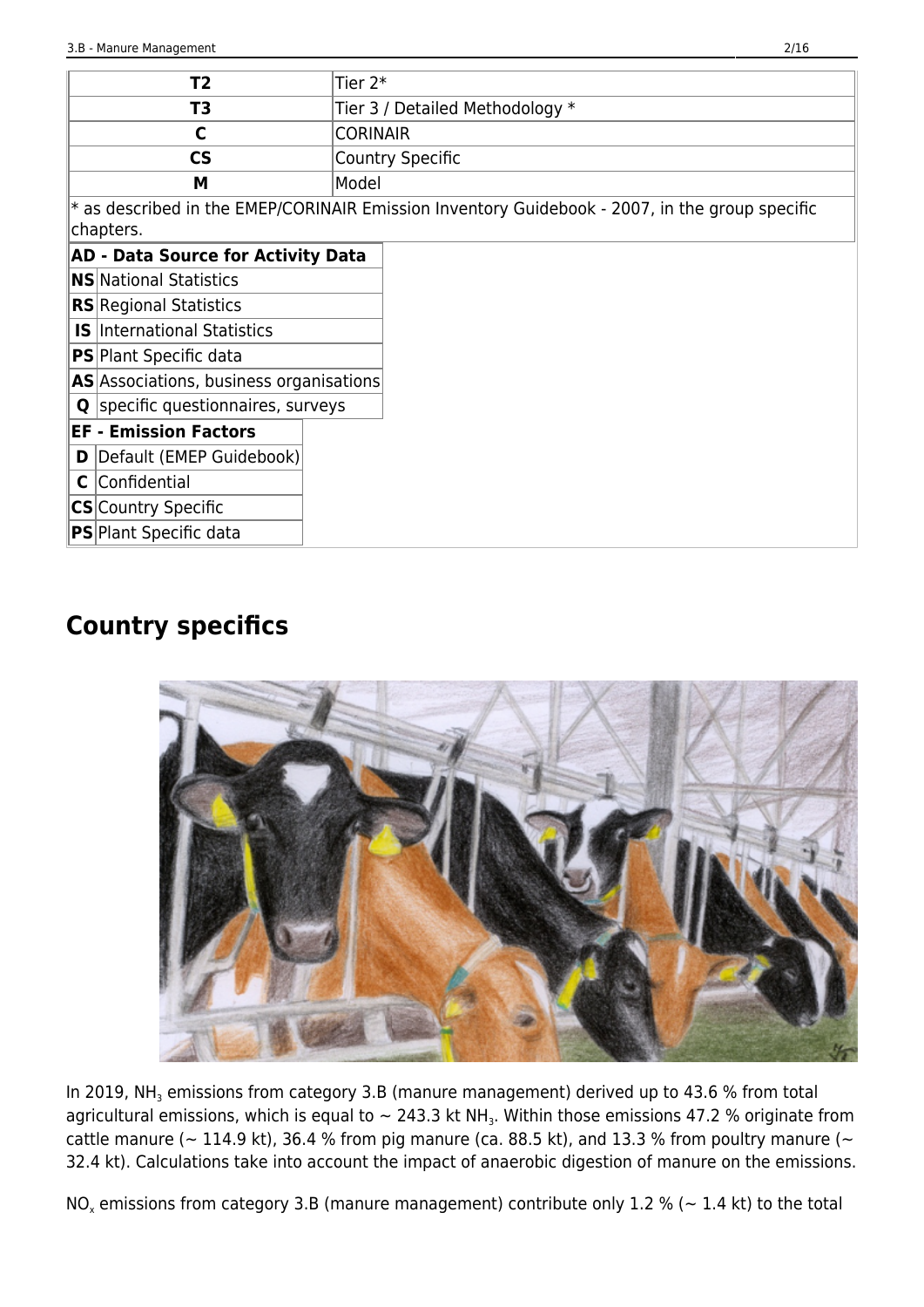|   | T2                                        | Tier 2*         |                                                                                                  |
|---|-------------------------------------------|-----------------|--------------------------------------------------------------------------------------------------|
|   | T3                                        |                 | Tier 3 / Detailed Methodology *                                                                  |
|   | C                                         | <b>CORINAIR</b> |                                                                                                  |
|   | $\mathsf{CS}\phantom{A}$                  |                 | <b>Country Specific</b>                                                                          |
|   | M                                         | Model           |                                                                                                  |
|   |                                           |                 | $*$ as described in the EMEP/CORINAIR Emission Inventory Guidebook - 2007, in the group specific |
|   | chapters.                                 |                 |                                                                                                  |
|   | <b>AD - Data Source for Activity Data</b> |                 |                                                                                                  |
|   | <b>NS</b> National Statistics             |                 |                                                                                                  |
|   | <b>RS</b> Regional Statistics             |                 |                                                                                                  |
|   | <b>IS</b> International Statistics        |                 |                                                                                                  |
|   | <b>PS</b> Plant Specific data             |                 |                                                                                                  |
|   | AS Associations, business organisations   |                 |                                                                                                  |
| Q | specific questionnaires, surveys          |                 |                                                                                                  |
|   | <b>EF - Emission Factors</b>              |                 |                                                                                                  |
| D | Default (EMEP Guidebook)                  |                 |                                                                                                  |
| C | Confidential                              |                 |                                                                                                  |
|   | <b>CS</b> Country Specific                |                 |                                                                                                  |
|   | <b>PS</b> Plant Specific data             |                 |                                                                                                  |

# **Country specifics**



In 2019, NH<sub>3</sub> emissions from category 3.B (manure management) derived up to 43.6 % from total agricultural emissions, which is equal to  $\sim$  243.3 kt NH<sub>3</sub>. Within those emissions 47.2 % originate from cattle manure ( $\sim$  114.9 kt), 36.4 % from pig manure (ca. 88.5 kt), and 13.3 % from poultry manure ( $\sim$ 32.4 kt). Calculations take into account the impact of anaerobic digestion of manure on the emissions.

NO<sub>x</sub> emissions from category 3.B (manure management) contribute only 1.2 % (~ 1.4 kt) to the total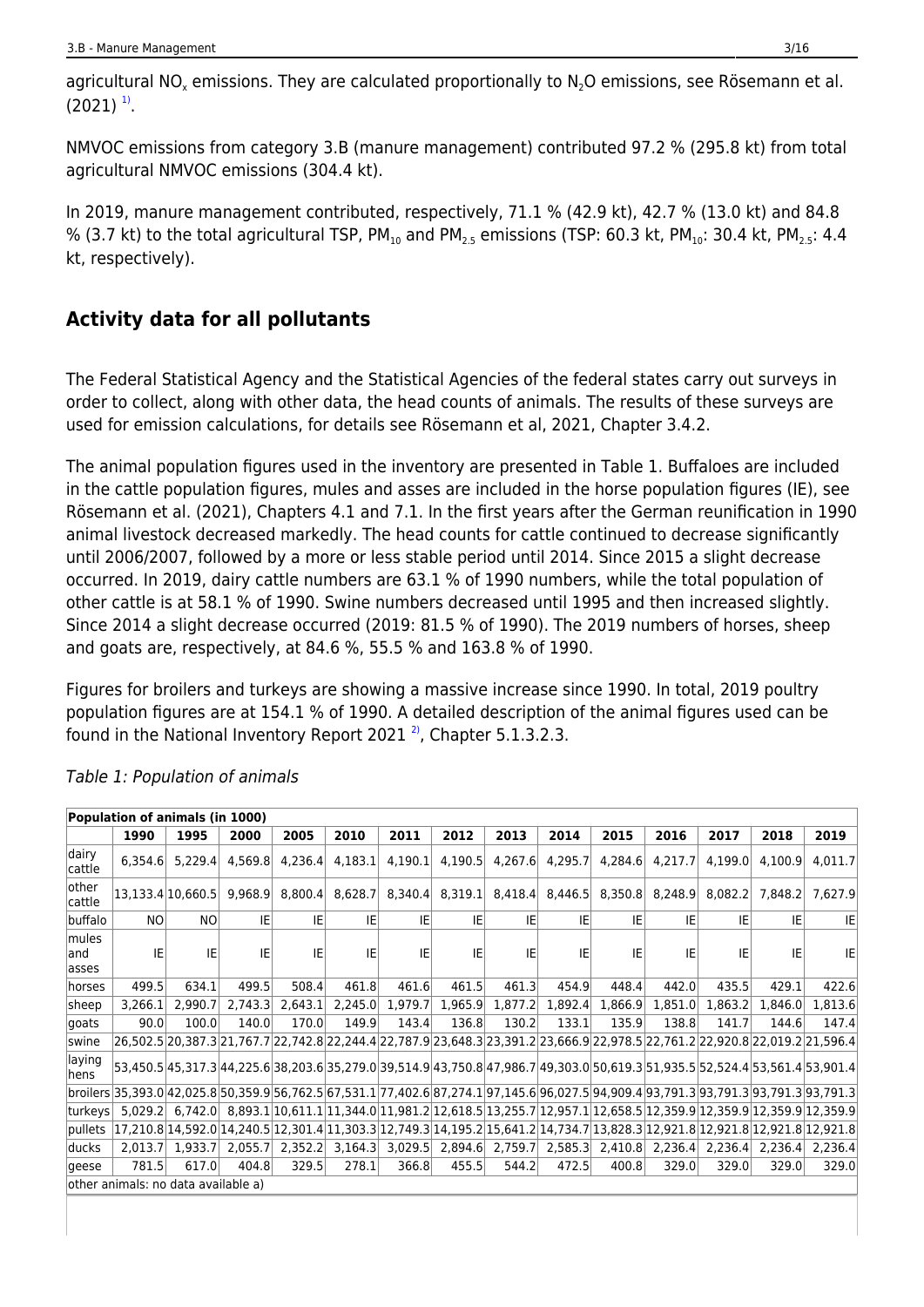agricultural NO<sub>x</sub> emissions. They are calculated proportionally to N<sub>2</sub>O emissions, see Rösemann et al.  $(2021)^{11}$  $(2021)^{11}$  $(2021)^{11}$ .

NMVOC emissions from category 3.B (manure management) contributed 97.2 % (295.8 kt) from total agricultural NMVOC emissions (304.4 kt).

In 2019, manure management contributed, respectively, 71.1 % (42.9 kt), 42.7 % (13.0 kt) and 84.8 % (3.7 kt) to the total agricultural TSP,  $PM_{10}$  and  $PM_{2.5}$  emissions (TSP: 60.3 kt,  $PM_{10}$ : 30.4 kt,  $PM_{2.5}$ : 4.4 kt, respectively).

# **Activity data for all pollutants**

The Federal Statistical Agency and the Statistical Agencies of the federal states carry out surveys in order to collect, along with other data, the head counts of animals. The results of these surveys are used for emission calculations, for details see Rösemann et al, 2021, Chapter 3.4.2.

The animal population figures used in the inventory are presented in Table 1. Buffaloes are included in the cattle population figures, mules and asses are included in the horse population figures (IE), see Rösemann et al. (2021), Chapters 4.1 and 7.1. In the first years after the German reunification in 1990 animal livestock decreased markedly. The head counts for cattle continued to decrease significantly until 2006/2007, followed by a more or less stable period until 2014. Since 2015 a slight decrease occurred. In 2019, dairy cattle numbers are 63.1 % of 1990 numbers, while the total population of other cattle is at 58.1 % of 1990. Swine numbers decreased until 1995 and then increased slightly. Since 2014 a slight decrease occurred (2019: 81.5 % of 1990). The 2019 numbers of horses, sheep and goats are, respectively, at 84.6 %, 55.5 % and 163.8 % of 1990.

Figures for broilers and turkeys are showing a massive increase since 1990. In total, 2019 poultry population figures are at 154.1 % of 1990. A detailed description of the animal figures used can be found in the National Inventory Report 2021 $^2$ , Chapter 5.1.3.2.3.

|                       | Population of animals (in 1000)     |                   |         |         |         |                                                                                                                                                 |         |                     |         |                     |                                                 |         |         |           |
|-----------------------|-------------------------------------|-------------------|---------|---------|---------|-------------------------------------------------------------------------------------------------------------------------------------------------|---------|---------------------|---------|---------------------|-------------------------------------------------|---------|---------|-----------|
|                       | 1990                                | 1995              | 2000    | 2005    | 2010    | 2011                                                                                                                                            | 2012    | 2013                | 2014    | 2015                | 2016                                            | 2017    | 2018    | 2019      |
| dairy<br>cattle       | 6.354.6                             | 5,229.4           | 4,569.8 | 4,236.4 | 4,183.1 | 4,190.1                                                                                                                                         | 4,190.5 | 4,267.6             | 4,295.7 | 4,284.6             | 4,217.7                                         | 4.199.0 | 4.100.9 | 4.011.7   |
| lother<br>cattle      |                                     | 13,133.4 10,660.5 | 9,968.9 | 8,800.4 | 8,628.7 | 8,340.4                                                                                                                                         |         | $8,319.1$ $8,418.4$ |         | $8,446.5$ $8,350.8$ | 8,248.9                                         | 8,082.2 | 7,848.2 | 7,627.9   |
| buffalo               | N <sub>O</sub>                      | <b>NO</b>         | IE      | IE      | IE      | IE                                                                                                                                              | IE      | IE                  | IE      | IE                  | IE                                              | IE      | IE      | <b>IE</b> |
| mules<br>and<br>asses | IE                                  | IE.               | IE      | IE      | IE      | IE                                                                                                                                              | IE      | IE                  | IE      | IE                  | IE                                              | IE      | IE      | IE.       |
| horses                | 499.5                               | 634.1             | 499.5   | 508.4   | 461.8   | 461.6                                                                                                                                           | 461.5   | 461.3               | 454.9   | 448.4               | 442.0                                           | 435.5   | 429.1   | 422.6     |
| sheep                 | 3.266.1                             | 2.990.7           | 2,743.3 | 2,643.1 | 2,245.0 | 1,979.7                                                                                                                                         | 1,965.9 | 1,877.2             | 1,892.4 | 1,866.9             | 1.851.0                                         | 1.863.2 | 1.846.0 | 1,813.6   |
| goats                 | 90.0                                | 100.0             | 140.0   | 170.0   | 149.9   | 143.4                                                                                                                                           | 136.8   | 130.2               | 133.1   | 135.9               | 138.8                                           | 141.7   | 144.6   | 147.4     |
| swine                 |                                     |                   |         |         |         | 26,502.5 20,387.3 21,767.7 22,742.8 22,244.4 22,787.9 23,648.3 23,391.2 23,666.9 22,978.5 22,761.2 22,920.8 22,019.2 21,596.4                   |         |                     |         |                     |                                                 |         |         |           |
| laying<br>hens        |                                     |                   |         |         |         | 53,450.5 45,317.3 44,225.6 38,203.6 35,279.0 39,514.9 43,750.8 47,986.7 49,303.0 50,619.3 51,935.5 52,524.4 53,561.4 53,901.4                   |         |                     |         |                     |                                                 |         |         |           |
|                       |                                     |                   |         |         |         | broilers 35,393.0 42,025.8 50,359.9 56,762.5 67,531.1 77,402.6 87,274.1 97,145.6 96,027.5 94,909.4 93,791.3 93,791.3 93,791.3 93,791.3 93,791.3 |         |                     |         |                     |                                                 |         |         |           |
| turkeys               | 5.029.2                             |                   |         |         |         | $6,742.0$ $8,893.1$ $10,611.1$ $11,344.0$ $11,981.2$ $12,618.5$ $13,255.7$ $12,957.1$ $12,658.5$ $12,359.9$ $12,359.9$ $12,359.9$ $12,359.9$    |         |                     |         |                     |                                                 |         |         |           |
| pullets               |                                     |                   |         |         |         | 17,210.8 14,592.0 14,240.5 12,301.4 11,303.3 12,749.3 14,195.2 15,641.2 14,734.7 13,828.3 12,921.8 12,921.8 12,921.8 12,921.8                   |         |                     |         |                     |                                                 |         |         |           |
| ducks                 | 2.013.7                             | 1.933.7           | 2,055.7 | 2,352.2 |         | 3,164.3 3,029.5 2,894.6 2,759.7                                                                                                                 |         |                     |         |                     | 2,585.3 2,410.8 2,236.4 2,236.4 2,236.4 2,236.4 |         |         |           |
| geese                 | 781.5                               | 617.0             | 404.8   | 329.5   | 278.1   | 366.8                                                                                                                                           | 455.5   | 544.2               | 472.5   | 400.8               | 329.0                                           | 329.0   | 329.0   | 329.0     |
|                       | other animals: no data available a) |                   |         |         |         |                                                                                                                                                 |         |                     |         |                     |                                                 |         |         |           |

### Table 1: Population of animals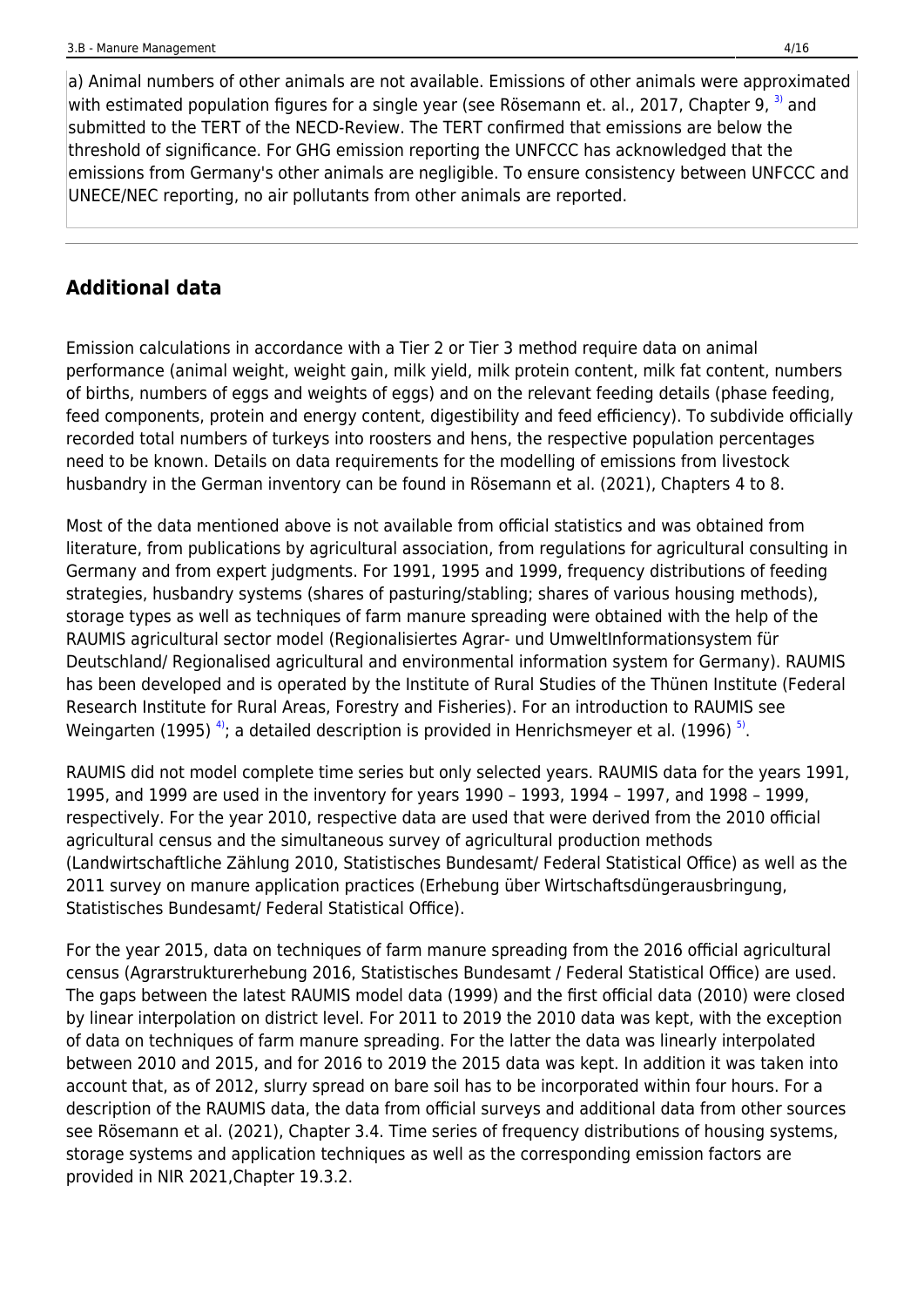a) Animal numbers of other animals are not available. Emissions of other animals were approximated with estimated population figures for a single year (see Rösemann et. al., 2017, Chapter 9,  $3)$  and submitted to the TERT of the NECD-Review. The TERT confirmed that emissions are below the threshold of significance. For GHG emission reporting the UNFCCC has acknowledged that the emissions from Germany's other animals are negligible. To ensure consistency between UNFCCC and UNECE/NEC reporting, no air pollutants from other animals are reported.

### **Additional data**

Emission calculations in accordance with a Tier 2 or Tier 3 method require data on animal performance (animal weight, weight gain, milk yield, milk protein content, milk fat content, numbers of births, numbers of eggs and weights of eggs) and on the relevant feeding details (phase feeding, feed components, protein and energy content, digestibility and feed efficiency). To subdivide officially recorded total numbers of turkeys into roosters and hens, the respective population percentages need to be known. Details on data requirements for the modelling of emissions from livestock husbandry in the German inventory can be found in Rösemann et al. (2021), Chapters 4 to 8.

Most of the data mentioned above is not available from official statistics and was obtained from literature, from publications by agricultural association, from regulations for agricultural consulting in Germany and from expert judgments. For 1991, 1995 and 1999, frequency distributions of feeding strategies, husbandry systems (shares of pasturing/stabling; shares of various housing methods), storage types as well as techniques of farm manure spreading were obtained with the help of the RAUMIS agricultural sector model (Regionalisiertes Agrar- und UmweltInformationsystem für Deutschland/ Regionalised agricultural and environmental information system for Germany). RAUMIS has been developed and is operated by the Institute of Rural Studies of the Thünen Institute (Federal Research Institute for Rural Areas, Forestry and Fisheries). For an introduction to RAUMIS see Weingarten (1995) <sup>[4\)](#page--1-0)</sup>; a detailed description is provided in Henrichsmeyer et al. (1996) [5\)](#page--1-0).

RAUMIS did not model complete time series but only selected years. RAUMIS data for the years 1991, 1995, and 1999 are used in the inventory for years 1990 – 1993, 1994 – 1997, and 1998 – 1999, respectively. For the year 2010, respective data are used that were derived from the 2010 official agricultural census and the simultaneous survey of agricultural production methods (Landwirtschaftliche Zählung 2010, Statistisches Bundesamt/ Federal Statistical Office) as well as the 2011 survey on manure application practices (Erhebung über Wirtschaftsdüngerausbringung, Statistisches Bundesamt/ Federal Statistical Office).

For the year 2015, data on techniques of farm manure spreading from the 2016 official agricultural census (Agrarstrukturerhebung 2016, Statistisches Bundesamt / Federal Statistical Office) are used. The gaps between the latest RAUMIS model data (1999) and the first official data (2010) were closed by linear interpolation on district level. For 2011 to 2019 the 2010 data was kept, with the exception of data on techniques of farm manure spreading. For the latter the data was linearly interpolated between 2010 and 2015, and for 2016 to 2019 the 2015 data was kept. In addition it was taken into account that, as of 2012, slurry spread on bare soil has to be incorporated within four hours. For a description of the RAUMIS data, the data from official surveys and additional data from other sources see Rösemann et al. (2021), Chapter 3.4. Time series of frequency distributions of housing systems, storage systems and application techniques as well as the corresponding emission factors are provided in NIR 2021,Chapter 19.3.2.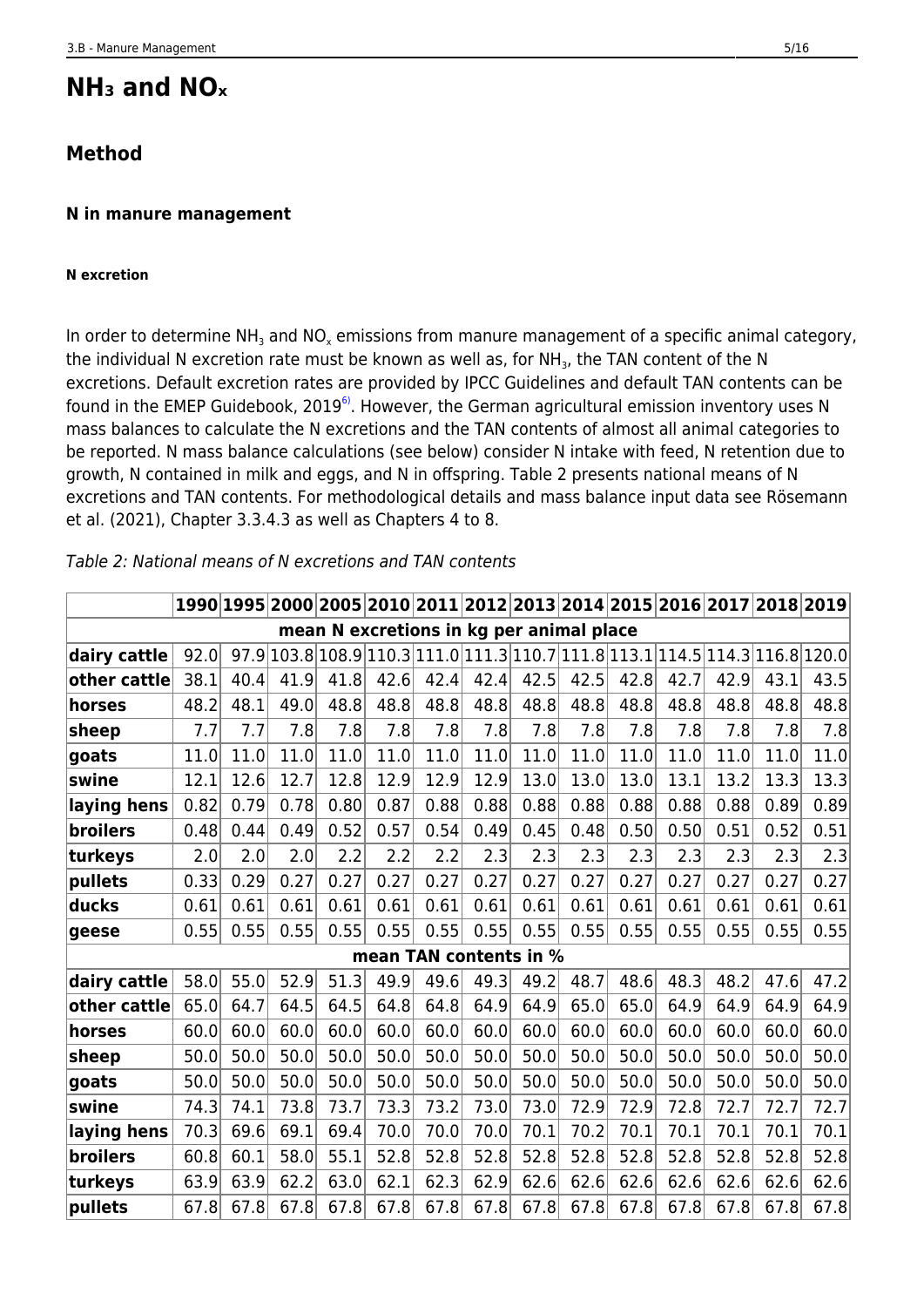# **NH₃ and NOₓ**

# **Method**

### **N in manure management**

### **N excretion**

In order to determine NH<sub>3</sub> and NO<sub>x</sub> emissions from manure management of a specific animal category, the individual N excretion rate must be known as well as, for NH<sub>3</sub>, the TAN content of the N excretions. Default excretion rates are provided by IPCC Guidelines and default TAN contents can be found in the EMEP Guidebook, 2019<sup>6</sup>. However, the German agricultural emission inventory uses N mass balances to calculate the N excretions and the TAN contents of almost all animal categories to be reported. N mass balance calculations (see below) consider N intake with feed, N retention due to growth, N contained in milk and eggs, and N in offspring. Table 2 presents national means of N excretions and TAN contents. For methodological details and mass balance input data see Rösemann et al. (2021), Chapter 3.3.4.3 as well as Chapters 4 to 8.

|                 |      |      |      |      |      |      |                                          |      |      |      |      |      | 1990 1995 2000 2005 2010 2011 2012 2013 2014 2015 2016 2017 2018 2019       |      |
|-----------------|------|------|------|------|------|------|------------------------------------------|------|------|------|------|------|-----------------------------------------------------------------------------|------|
|                 |      |      |      |      |      |      | mean N excretions in kg per animal place |      |      |      |      |      |                                                                             |      |
| dairy cattle    | 92.0 |      |      |      |      |      |                                          |      |      |      |      |      | 97.9 103.8 108.9 110.3 111.0 111.3 10.7 111.8 113.1 114.5 114.3 116.8 120.0 |      |
| other cattle    | 38.1 | 40.4 | 41.9 | 41.8 | 42.6 | 42.4 | 42.4                                     | 42.5 | 42.5 | 42.8 | 42.7 | 42.9 | 43.1                                                                        | 43.5 |
| horses          | 48.2 | 48.1 | 49.0 | 48.8 | 48.8 | 48.8 | 48.8                                     | 48.8 | 48.8 | 48.8 | 48.8 | 48.8 | 48.8                                                                        | 48.8 |
| sheep           | 7.7  | 7.7  | 7.8  | 7.8  | 7.8  | 7.8  | 7.8                                      | 7.8  | 7.8  | 7.8  | 7.8  | 7.8  | 7.8                                                                         | 7.8  |
| goats           | 11.0 | 11.0 | 11.0 | 11.0 | 11.0 | 11.0 | 11.0                                     | 11.0 | 11.0 | 11.0 | 11.0 | 11.0 | 11.0                                                                        | 11.0 |
| swine           | 12.1 | 12.6 | 12.7 | 12.8 | 12.9 | 12.9 | 12.9                                     | 13.0 | 13.0 | 13.0 | 13.1 | 13.2 | 13.3                                                                        | 13.3 |
| laying hens     | 0.82 | 0.79 | 0.78 | 0.80 | 0.87 | 0.88 | 0.88                                     | 0.88 | 0.88 | 0.88 | 0.88 | 0.88 | 0.89                                                                        | 0.89 |
| broilers        | 0.48 | 0.44 | 0.49 | 0.52 | 0.57 | 0.54 | 0.49                                     | 0.45 | 0.48 | 0.50 | 0.50 | 0.51 | 0.52                                                                        | 0.51 |
| turkeys         | 2.0  | 2.0  | 2.0  | 2.2  | 2.2  | 2.2  | 2.3                                      | 2.3  | 2.3  | 2.3  | 2.3  | 2.3  | 2.3                                                                         | 2.3  |
| pullets         | 0.33 | 0.29 | 0.27 | 0.27 | 0.27 | 0.27 | 0.27                                     | 0.27 | 0.27 | 0.27 | 0.27 | 0.27 | 0.27                                                                        | 0.27 |
| ducks           | 0.61 | 0.61 | 0.61 | 0.61 | 0.61 | 0.61 | 0.61                                     | 0.61 | 0.61 | 0.61 | 0.61 | 0.61 | 0.61                                                                        | 0.61 |
| geese           | 0.55 | 0.55 | 0.55 | 0.55 | 0.55 | 0.55 | 0.55                                     | 0.55 | 0.55 | 0.55 | 0.55 | 0.55 | 0.55                                                                        | 0.55 |
|                 |      |      |      |      |      |      | mean TAN contents in %                   |      |      |      |      |      |                                                                             |      |
| dairy cattle    | 58.0 | 55.0 | 52.9 | 51.3 | 49.9 | 49.6 | 49.3                                     | 49.2 | 48.7 | 48.6 | 48.3 | 48.2 | 47.6                                                                        | 47.2 |
| other cattle    | 65.0 | 64.7 | 64.5 | 64.5 | 64.8 | 64.8 | 64.9                                     | 64.9 | 65.0 | 65.0 | 64.9 | 64.9 | 64.9                                                                        | 64.9 |
| horses          | 60.0 | 60.0 | 60.0 | 60.0 | 60.0 | 60.0 | 60.0                                     | 60.0 | 60.0 | 60.0 | 60.0 | 60.0 | 60.0                                                                        | 60.0 |
| sheep           | 50.0 | 50.0 | 50.0 | 50.0 | 50.0 | 50.0 | 50.0                                     | 50.0 | 50.0 | 50.0 | 50.0 | 50.0 | 50.0                                                                        | 50.0 |
| goats           | 50.0 | 50.0 | 50.0 | 50.0 | 50.0 | 50.0 | 50.0                                     | 50.0 | 50.0 | 50.0 | 50.0 | 50.0 | 50.0                                                                        | 50.0 |
| swine           | 74.3 | 74.1 | 73.8 | 73.7 | 73.3 | 73.2 | 73.0                                     | 73.0 | 72.9 | 72.9 | 72.8 | 72.7 | 72.7                                                                        | 72.7 |
| laying hens     | 70.3 | 69.6 | 69.1 | 69.4 | 70.0 | 70.0 | 70.0                                     | 70.1 | 70.2 | 70.1 | 70.1 | 70.1 | 70.1                                                                        | 70.1 |
| <b>broilers</b> | 60.8 | 60.1 | 58.0 | 55.1 | 52.8 | 52.8 | 52.8                                     | 52.8 | 52.8 | 52.8 | 52.8 | 52.8 | 52.8                                                                        | 52.8 |
| turkeys         | 63.9 | 63.9 | 62.2 | 63.0 | 62.1 | 62.3 | 62.9                                     | 62.6 | 62.6 | 62.6 | 62.6 | 62.6 | 62.6                                                                        | 62.6 |
| pullets         | 67.8 | 67.8 | 67.8 | 67.8 | 67.8 | 67.8 | 67.8                                     | 67.8 | 67.8 | 67.8 | 67.8 | 67.8 | 67.8                                                                        | 67.8 |

### Table 2: National means of N excretions and TAN contents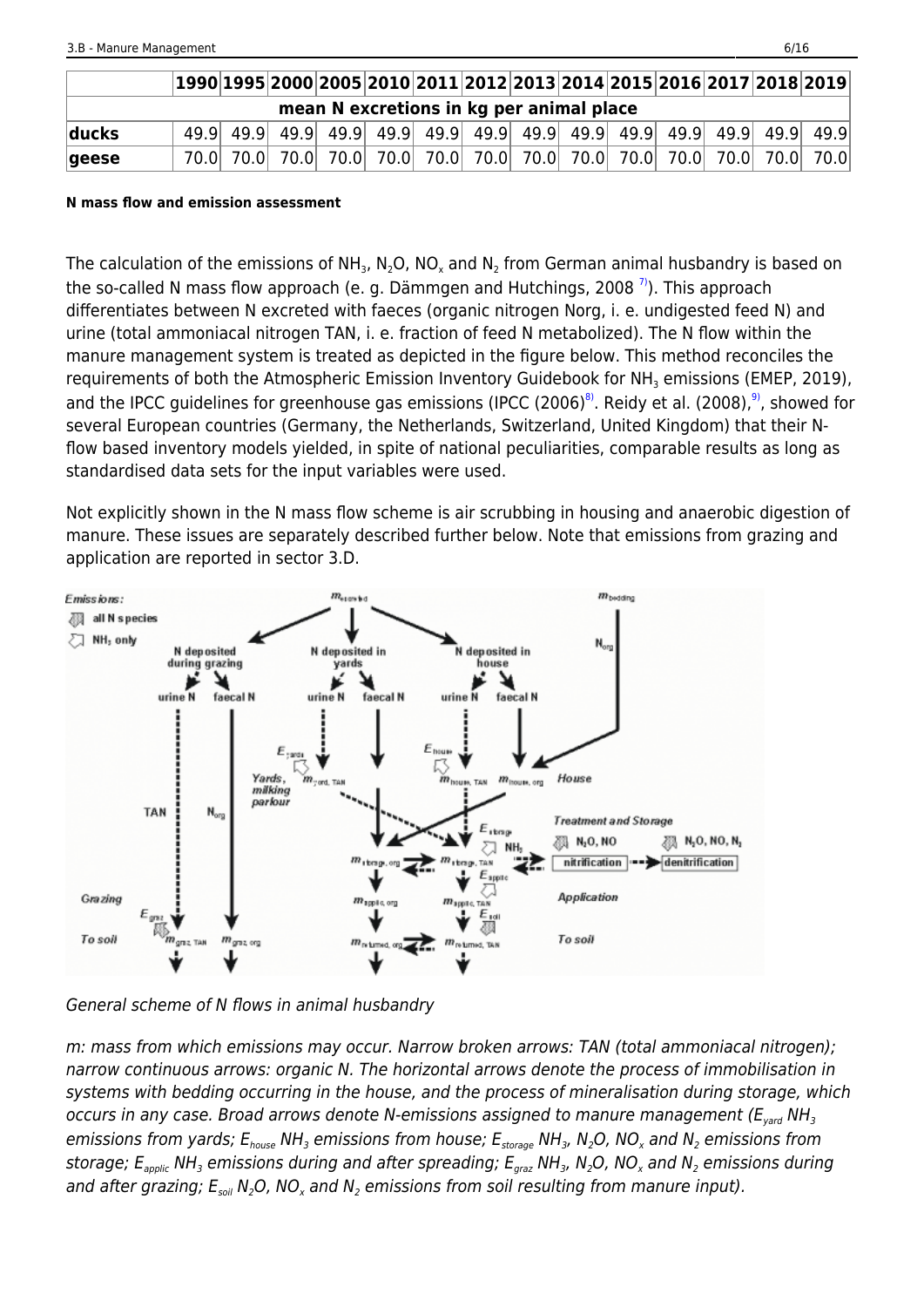|                 | $\vert 1990\vert 1995\vert 2000\vert 2005\vert 2010\vert 2011\vert 2012\vert 2013\vert 2014\vert 2015\vert 2016\vert 2017\vert 2018\vert 2019\vert$ |  |  |                                          |  |  |  |  |
|-----------------|-----------------------------------------------------------------------------------------------------------------------------------------------------|--|--|------------------------------------------|--|--|--|--|
|                 |                                                                                                                                                     |  |  | mean N excretions in kg per animal place |  |  |  |  |
| ducks           |                                                                                                                                                     |  |  |                                          |  |  |  |  |
| $ {\sf geese} $ |                                                                                                                                                     |  |  |                                          |  |  |  |  |

#### **N mass flow and emission assessment**

The calculation of the emissions of NH<sub>3</sub>, N<sub>2</sub>O, NO<sub>x</sub> and N<sub>2</sub> from German animal husbandry is based on the so-called N mass flow approach (e. g. Dämmgen and Hutchings, 2008 $^{7)}$  $^{7)}$  $^{7)}$ ). This approach differentiates between N excreted with faeces (organic nitrogen Norg, i. e. undigested feed N) and urine (total ammoniacal nitrogen TAN, i. e. fraction of feed N metabolized). The N flow within the manure management system is treated as depicted in the figure below. This method reconciles the requirements of both the Atmospheric Emission Inventory Guidebook for NH $_{\tiny 3}$  emissions (EMEP, 2019), and the IPCC guidelines for greenhouse gas emissions (IPCC (2006)<sup>8</sup>. Reidy et al. (200[8\)](#page--1-0),  $9^{\circ}$ , showed for several European countries (Germany, the Netherlands, Switzerland, United Kingdom) that their Nflow based inventory models yielded, in spite of national peculiarities, comparable results as long as standardised data sets for the input variables were used.

Not explicitly shown in the N mass flow scheme is air scrubbing in housing and anaerobic digestion of manure. These issues are separately described further below. Note that emissions from grazing and application are reported in sector 3.D.



General scheme of N flows in animal husbandry

m: mass from which emissions may occur. Narrow broken arrows: TAN (total ammoniacal nitrogen); narrow continuous arrows: organic N. The horizontal arrows denote the process of immobilisation in systems with bedding occurring in the house, and the process of mineralisation during storage, which occurs in any case. Broad arrows denote N-emissions assigned to manure management ( $E_{\text{vard}}$  NH<sub>3</sub> emissions from yards;  $\mathsf{E_{house}}$  NH $_3$  emissions from house;  $\mathsf{E_{storage}}$  NH $_3$ , N $_2$ O, NO $_x$  and N $_2$  emissions from storage;  $\mathsf{E}_{\mathsf{applic}}$  NH $_3$  emissions during and after spreading;  $\mathsf{E}_{\mathsf{graz}}$  NH $_3$ , N $_2$ O, NO $_\chi$  and N $_2$  emissions during and after grazing;  $\mathsf{E}_{\mathsf{soil}}$  N<sub>2</sub>O, NO<sub>x</sub> and N<sub>2</sub> emissions from soil resulting from manure input).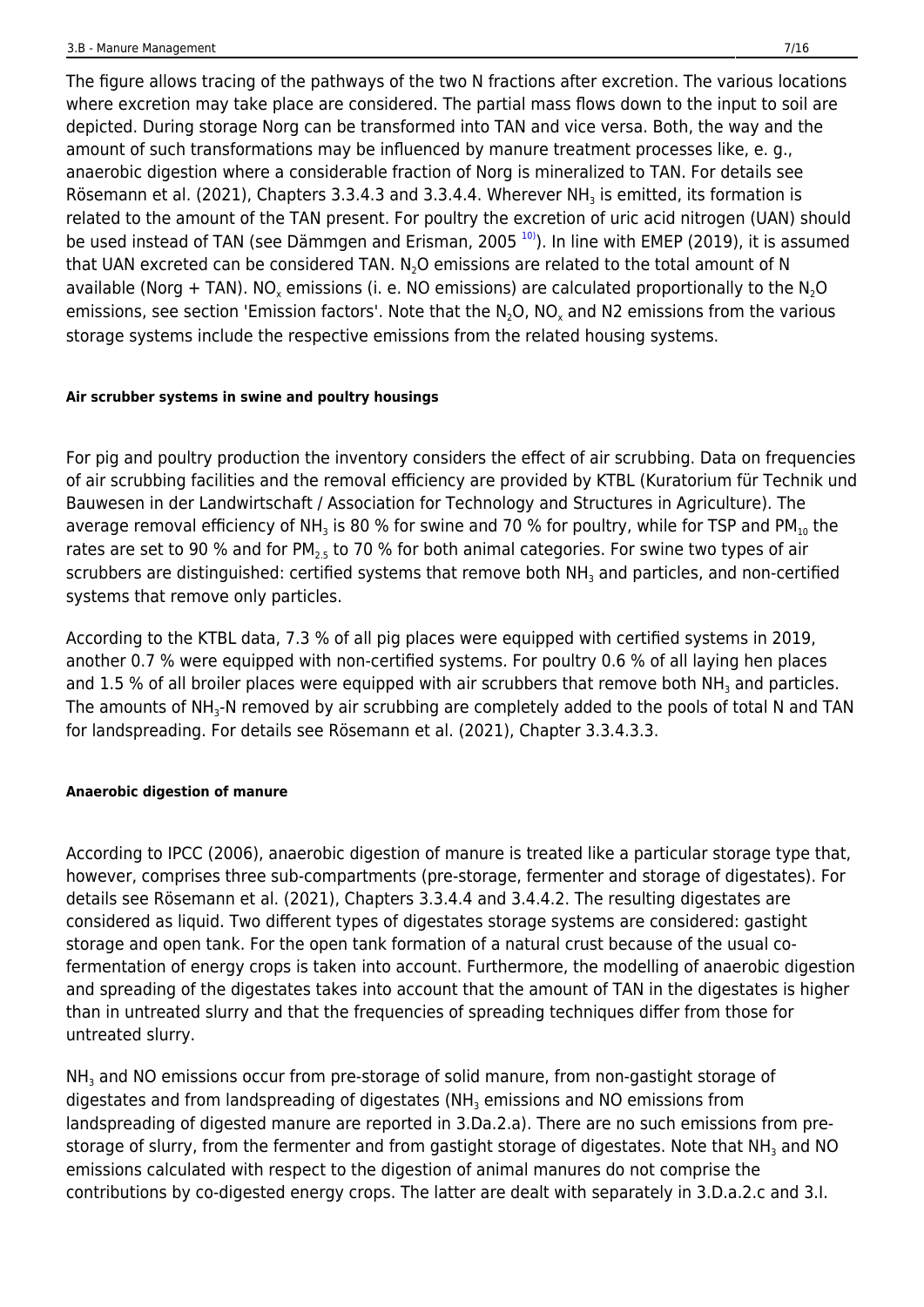The figure allows tracing of the pathways of the two N fractions after excretion. The various locations where excretion may take place are considered. The partial mass flows down to the input to soil are depicted. During storage Norg can be transformed into TAN and vice versa. Both, the way and the amount of such transformations may be influenced by manure treatment processes like, e. g., anaerobic digestion where a considerable fraction of Norg is mineralized to TAN. For details see Rösemann et al. (2021), Chapters 3.3.4.3 and 3.3.4.4. Wherever NH<sub>3</sub> is emitted, its formation is related to the amount of the TAN present. For poultry the excretion of uric acid nitrogen (UAN) should be used instead of TAN (see Dämmgen and Erisman, 2005  $10$ ). In line with EMEP (2019), it is assumed that UAN excreted can be considered TAN.  $N_2O$  emissions are related to the total amount of N available (Norg + TAN). NO<sub>x</sub> emissions (i. e. NO emissions) are calculated proportionally to the N<sub>2</sub>O emissions, see section 'Emission factors'. Note that the N<sub>2</sub>O, NO<sub>x</sub> and N2 emissions from the various storage systems include the respective emissions from the related housing systems.

### **Air scrubber systems in swine and poultry housings**

For pig and poultry production the inventory considers the effect of air scrubbing. Data on frequencies of air scrubbing facilities and the removal efficiency are provided by KTBL (Kuratorium für Technik und Bauwesen in der Landwirtschaft / Association for Technology and Structures in Agriculture). The average removal efficiency of NH<sub>3</sub> is 80 % for swine and 70 % for poultry, while for TSP and PM<sub>10</sub> the rates are set to 90 % and for  $PM_{2.5}$  to 70 % for both animal categories. For swine two types of air scrubbers are distinguished: certified systems that remove both NH<sub>3</sub> and particles, and non-certified systems that remove only particles.

According to the KTBL data, 7.3 % of all pig places were equipped with certified systems in 2019, another 0.7 % were equipped with non-certified systems. For poultry 0.6 % of all laying hen places and 1.5 % of all broiler places were equipped with air scrubbers that remove both NH<sub>3</sub> and particles. The amounts of NH<sub>3</sub>-N removed by air scrubbing are completely added to the pools of total N and TAN for landspreading. For details see Rösemann et al. (2021), Chapter 3.3.4.3.3.

### **Anaerobic digestion of manure**

According to IPCC (2006), anaerobic digestion of manure is treated like a particular storage type that, however, comprises three sub-compartments (pre-storage, fermenter and storage of digestates). For details see Rösemann et al. (2021), Chapters 3.3.4.4 and 3.4.4.2. The resulting digestates are considered as liquid. Two different types of digestates storage systems are considered: gastight storage and open tank. For the open tank formation of a natural crust because of the usual cofermentation of energy crops is taken into account. Furthermore, the modelling of anaerobic digestion and spreading of the digestates takes into account that the amount of TAN in the digestates is higher than in untreated slurry and that the frequencies of spreading techniques differ from those for untreated slurry.

 $NH<sub>3</sub>$  and NO emissions occur from pre-storage of solid manure, from non-gastight storage of digestates and from landspreading of digestates (NH<sub>3</sub> emissions and NO emissions from landspreading of digested manure are reported in 3.Da.2.a). There are no such emissions from prestorage of slurry, from the fermenter and from gastight storage of digestates. Note that NH<sub>3</sub> and NO emissions calculated with respect to the digestion of animal manures do not comprise the contributions by co-digested energy crops. The latter are dealt with separately in 3.D.a.2.c and 3.I.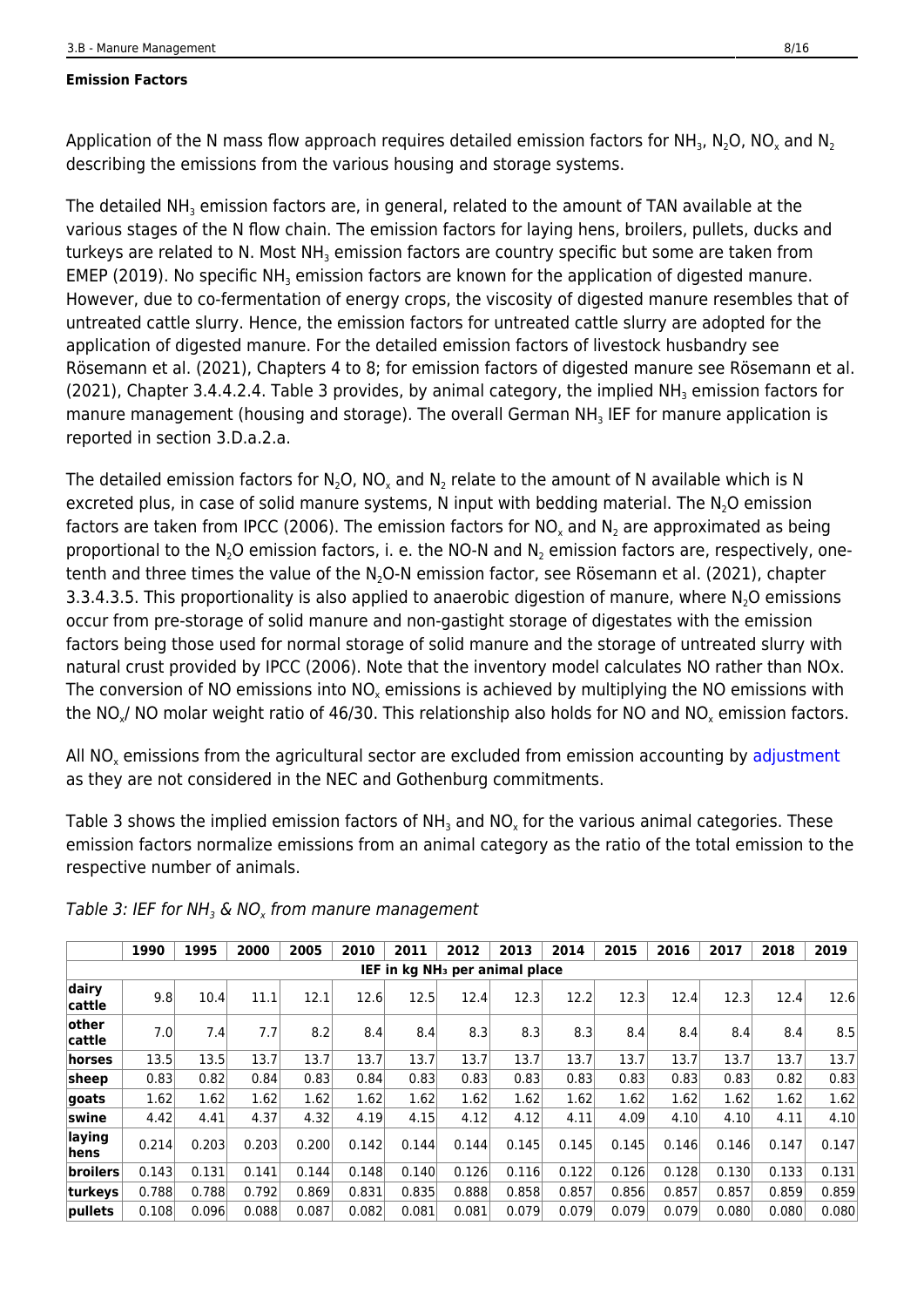#### **Emission Factors**

Application of the N mass flow approach requires detailed emission factors for NH<sub>3</sub>, N<sub>2</sub>O, NO<sub>x</sub> and N<sub>2</sub> describing the emissions from the various housing and storage systems.

The detailed NH<sub>3</sub> emission factors are, in general, related to the amount of TAN available at the various stages of the N flow chain. The emission factors for laying hens, broilers, pullets, ducks and turkeys are related to N. Most NH $_{\scriptscriptstyle{3}}$  emission factors are country specific but some are taken from EMEP (2019). No specific NH<sub>3</sub> emission factors are known for the application of digested manure. However, due to co-fermentation of energy crops, the viscosity of digested manure resembles that of untreated cattle slurry. Hence, the emission factors for untreated cattle slurry are adopted for the application of digested manure. For the detailed emission factors of livestock husbandry see Rösemann et al. (2021), Chapters 4 to 8; for emission factors of digested manure see Rösemann et al. (2021), Chapter 3.4.4.2.4. Table 3 provides, by animal category, the implied NH<sub>3</sub> emission factors for manure management (housing and storage). The overall German NH<sub>3</sub> IEF for manure application is reported in section 3.D.a.2.a.

The detailed emission factors for N<sub>2</sub>O, NO<sub>x</sub> and N<sub>2</sub> relate to the amount of N available which is N excreted plus, in case of solid manure systems, N input with bedding material. The N<sub>2</sub>O emission factors are taken from IPCC (2006). The emission factors for NO<sub>x</sub> and N<sub>2</sub> are approximated as being proportional to the N<sub>2</sub>O emission factors, i. e. the NO-N and N<sub>2</sub> emission factors are, respectively, onetenth and three times the value of the N<sub>2</sub>O-N emission factor, see Rösemann et al. (2021), chapter 3.3.4.3.5. This proportionality is also applied to anaerobic digestion of manure, where  $N<sub>2</sub>O$  emissions occur from pre-storage of solid manure and non-gastight storage of digestates with the emission factors being those used for normal storage of solid manure and the storage of untreated slurry with natural crust provided by IPCC (2006). Note that the inventory model calculates NO rather than NOx. The conversion of NO emissions into NO $_{\sf x}$  emissions is achieved by multiplying the NO emissions with the NO<sub>x</sub>/ NO molar weight ratio of 46/30. This relationship also holds for NO and NO<sub>x</sub> emission factors.

All NO<sub>x</sub> emissions from the agricultural sector are excluded from emission accounting by [adjustment](https://iir.umweltbundesamt.de/2021/general/adjustments/adjustment_de-c) as they are not considered in the NEC and Gothenburg commitments.

Table 3 shows the implied emission factors of NH<sub>3</sub> and NO<sub>x</sub> for the various animal categories. These emission factors normalize emissions from an animal category as the ratio of the total emission to the respective number of animals.

|                 | 1990  | 1995  | 2000  | 2005  | 2010  | 2011                                       | 2012  | 2013  | 2014  | 2015  | 2016  | 2017  | 2018  | 2019  |
|-----------------|-------|-------|-------|-------|-------|--------------------------------------------|-------|-------|-------|-------|-------|-------|-------|-------|
|                 |       |       |       |       |       | IEF in kg NH <sub>3</sub> per animal place |       |       |       |       |       |       |       |       |
| dairy<br>cattle | 9.8   | 10.4  | 11.1  | 12.1  | 12.6  | 12.5                                       | 12.4  | 12.3  | 12.2  | 12.3  | 12.4  | 12.3  | 12.4  | 12.6  |
| other<br>cattle | 7.0   | 7.4   | 7.7   | 8.2   | 8.4   | 8.4                                        | 8.3   | 8.3   | 8.3   | 8.4   | 8.4   | 8.4   | 8.4   | 8.5   |
| horses          | 13.5  | 13.5  | 13.7  | 13.7  | 13.7  | 13.7                                       | 13.7  | 13.7  | 13.7  | 13.7  | 13.7  | 13.7  | 13.7  | 13.7  |
| sheep           | 0.83  | 0.82  | 0.84  | 0.83  | 0.84  | 0.83                                       | 0.83  | 0.83  | 0.83  | 0.83  | 0.83  | 0.83  | 0.82  | 0.83  |
| goats           | 1.62  | 1.62  | 1.62  | 1.62  | 1.62  | 1.62                                       | 1.62  | 1.62  | 1.62  | 1.62  | 1.62  | 1.62  | 1.62  | 1.62  |
| lswine          | 4.42  | 4.41  | 4.37  | 4.32  | 4.19  | 4.15                                       | 4.12  | 4.12  | 4.11  | 4.09  | 4.10  | 4.10  | 4.11  | 4.10  |
| laying<br>hens. | 0.214 | 0.203 | 0.203 | 0.200 | 0.142 | 0.144                                      | 0.144 | 0.145 | 0.145 | 0.145 | 0.146 | 0.146 | 0.147 | 0.147 |
| broilers        | 0.143 | 0.131 | 0.141 | 0.144 | 0.148 | 0.140                                      | 0.126 | 0.116 | 0.122 | 0.126 | 0.128 | 0.130 | 0.133 | 0.131 |
| turkeys         | 0.788 | 0.788 | 0.792 | 0.869 | 0.831 | 0.835                                      | 0.888 | 0.858 | 0.857 | 0.856 | 0.857 | 0.857 | 0.859 | 0.859 |
| pullets         | 0.108 | 0.096 | 0.088 | 0.087 | 0.082 | 0.081                                      | 0.081 | 0.079 | 0.079 | 0.079 | 0.079 | 0.080 | 0.080 | 0.080 |

Table 3: IEF for NH $_{\text{3}}$  & NO $_{\text{x}}$  from manure management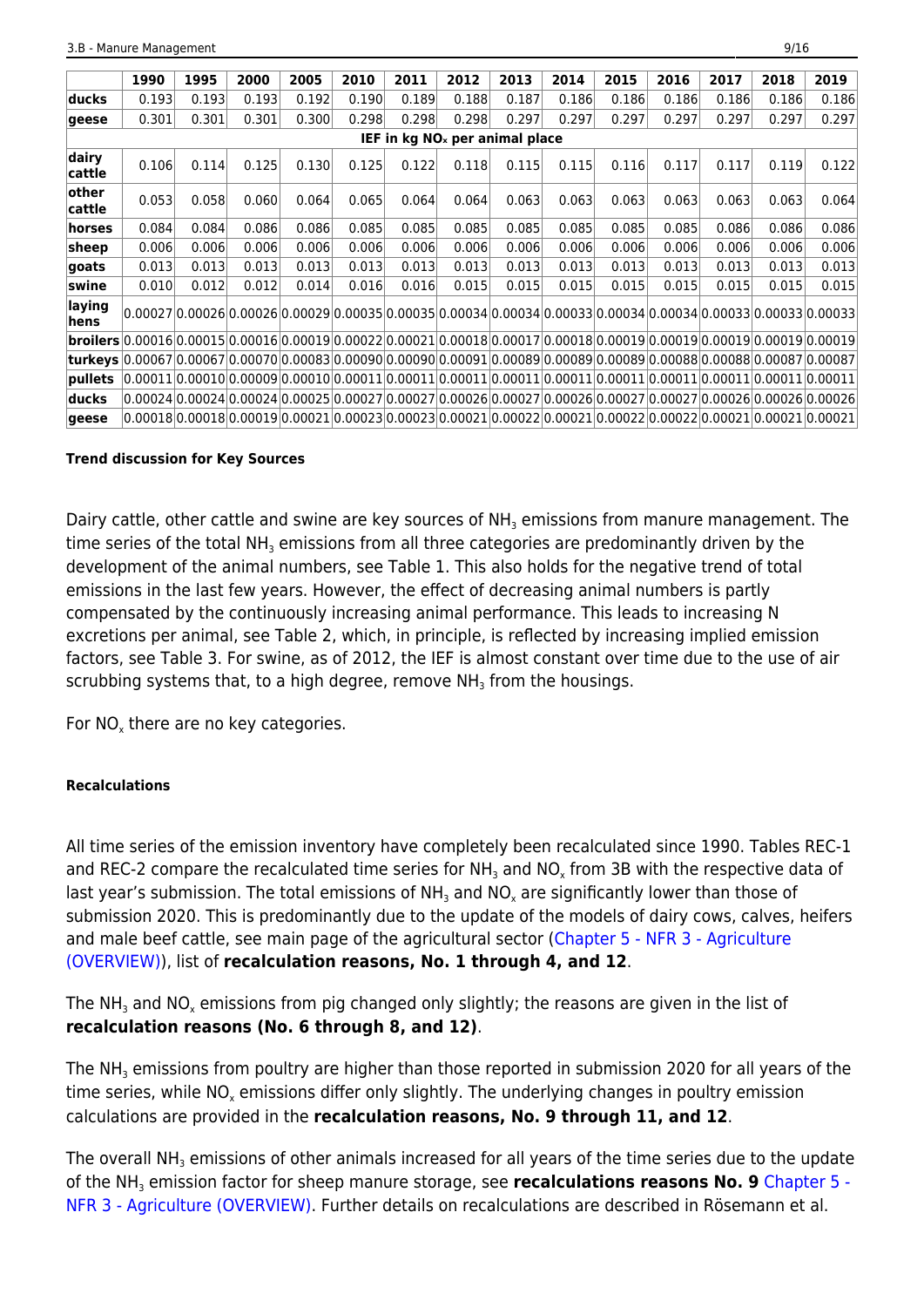|                                                                                                                         | 1990                                                                                                                                                                                                                             | 1995  | 2000  | 2005                                                                                                            | 2010  | 2011  | 2012                                | 2013  | 2014  | 2015  | 2016  | 2017  | 2018  | 2019  |
|-------------------------------------------------------------------------------------------------------------------------|----------------------------------------------------------------------------------------------------------------------------------------------------------------------------------------------------------------------------------|-------|-------|-----------------------------------------------------------------------------------------------------------------|-------|-------|-------------------------------------|-------|-------|-------|-------|-------|-------|-------|
| ducks                                                                                                                   | 0.193                                                                                                                                                                                                                            | 0.193 | 0.193 | 0.192                                                                                                           | 0.190 | 0.189 | 0.188                               | 0.187 | 0.186 | 0.186 | 0.186 | 0.186 | 0.186 | 0.186 |
| geese                                                                                                                   | 0.301                                                                                                                                                                                                                            | 0.301 | 0.301 | 0.300                                                                                                           | 0.298 | 0.298 | 0.298                               | 0.297 | 0.297 | 0.297 | 0.297 | 0.297 | 0.297 | 0.297 |
|                                                                                                                         |                                                                                                                                                                                                                                  |       |       |                                                                                                                 |       |       | IEF in $kq$ NO $x$ per animal place |       |       |       |       |       |       |       |
| dairy<br>cattle                                                                                                         | 0.106                                                                                                                                                                                                                            | 0.114 | 0.125 | 0.130                                                                                                           | 0.125 | 0.122 | 0.118                               | 0.115 | 0.115 | 0.116 | 0.117 | 0.117 | 0.119 | 0.122 |
| other<br>cattle                                                                                                         | 0.053                                                                                                                                                                                                                            | 0.058 | 0.060 | 0.064                                                                                                           | 0.065 | 0.064 | 0.064                               | 0.063 | 0.063 | 0.063 | 0.063 | 0.063 | 0.063 | 0.064 |
| horses                                                                                                                  | 0.084                                                                                                                                                                                                                            | 0.084 | 0.086 | 0.086                                                                                                           | 0.085 | 0.085 | 0.085                               | 0.085 | 0.085 | 0.085 | 0.085 | 0.086 | 0.086 | 0.086 |
| sheep                                                                                                                   | 0.006                                                                                                                                                                                                                            | 0.006 | 0.006 | 0.006                                                                                                           | 0.006 | 0.006 | 0.006                               | 0.006 | 0.006 | 0.006 | 0.006 | 0.006 | 0.006 | 0.006 |
| goats                                                                                                                   | 0.013                                                                                                                                                                                                                            | 0.013 | 0.013 | 0.013                                                                                                           | 0.013 | 0.013 | 0.013                               | 0.013 | 0.013 | 0.013 | 0.013 | 0.013 | 0.013 | 0.013 |
| swine                                                                                                                   | 0.010                                                                                                                                                                                                                            | 0.012 | 0.012 | 0.014                                                                                                           | 0.016 | 0.016 | 0.015                               | 0.015 | 0.015 | 0.015 | 0.015 | 0.015 | 0.015 | 0.015 |
| laying<br>hens                                                                                                          |                                                                                                                                                                                                                                  |       |       | 0.00027 0.00026 0.00026 0.00029 0.00035 0.00035 0.00034 0.00034 0.00033 0.00034 0.00034 0.00033 0.00033 0.00033 |       |       |                                     |       |       |       |       |       |       |       |
|                                                                                                                         | $b$ roilers $ 0.00016 0.00015 0.00016 0.00019 0.00022 0.00021 0.00018 0.00017 0.00018 0.00019 0.00019 0.00019 0.00019 0.00019 0.00019 0.00019 0.00019 0.00019 0.00019 0.00019 0.00019 0.00019 0.00019 0.00019 0.00019 0.00019 0$ |       |       |                                                                                                                 |       |       |                                     |       |       |       |       |       |       |       |
| 0.00067 0.00067 0.00067 0.00070 0.00083 0.00090 0.00090 0.00091 0.00089 0.00089 0.00089 0.00088 0.00088 0.00087 0.00087 |                                                                                                                                                                                                                                  |       |       |                                                                                                                 |       |       |                                     |       |       |       |       |       |       |       |
| pullets                                                                                                                 | $ 0.00011 0.00010 0.00009 0.00010 0.00011 0.00011 0.00011 0.00011 0.00011 0.00011 0.00011 0.00011 0.00011 0.00011 0.00011 0.00011 0.00011 0.00011 0.00011 0.00011 0.00011 0.00011 0.00011 0.00011 0.00011 0.00011 0.00011 0.0$   |       |       |                                                                                                                 |       |       |                                     |       |       |       |       |       |       |       |
| lducks                                                                                                                  |                                                                                                                                                                                                                                  |       |       | 0.00024 0.00024 0.00024 0.00025 0.00027 0.00027 0.00026 0.00027 0.00026 0.00027 0.00027 0.00026 0.00026 0.00026 |       |       |                                     |       |       |       |       |       |       |       |
| qeese                                                                                                                   | $ 0.00018 0.00018 0.00019 0.00021 0.00023 0.00023 0.00021 0.00022 0.00021 0.00022 0.00022 0.00022 0.00021 0.00021 0.00021$                                                                                                       |       |       |                                                                                                                 |       |       |                                     |       |       |       |       |       |       |       |

#### **Trend discussion for Key Sources**

Dairy cattle, other cattle and swine are key sources of NH<sub>3</sub> emissions from manure management. The time series of the total NH<sub>3</sub> emissions from all three categories are predominantly driven by the development of the animal numbers, see Table 1. This also holds for the negative trend of total emissions in the last few years. However, the effect of decreasing animal numbers is partly compensated by the continuously increasing animal performance. This leads to increasing N excretions per animal, see Table 2, which, in principle, is reflected by increasing implied emission factors, see Table 3. For swine, as of 2012, the IEF is almost constant over time due to the use of air scrubbing systems that, to a high degree, remove NH $_{\rm 3}$  from the housings.

For  $NO_{x}$  there are no key categories.

### **Recalculations**

All time series of the emission inventory have completely been recalculated since 1990. Tables REC-1 and REC-2 compare the recalculated time series for NH<sub>3</sub> and NO<sub>x</sub> from 3B with the respective data of last year's submission. The total emissions of NH<sub>3</sub> and NO<sub>x</sub> are significantly lower than those of submission 2020. This is predominantly due to the update of the models of dairy cows, calves, heifers and male beef cattle, see main page of the agricultural sector [\(Chapter 5 - NFR 3 - Agriculture](https://iir.umweltbundesamt.de/2021/sector/agriculture/start) [\(OVERVIEW\)\)](https://iir.umweltbundesamt.de/2021/sector/agriculture/start), list of **recalculation reasons, No. 1 through 4, and 12**.

The NH<sub>3</sub> and NO<sub>x</sub> emissions from pig changed only slightly; the reasons are given in the list of **recalculation reasons (No. 6 through 8, and 12)**.

The NH $_{\rm_3}$  emissions from poultry are higher than those reported in submission 2020 for all years of the time series, while NO $_{\sf x}$  emissions differ only slightly. The underlying changes in poultry emission calculations are provided in the **recalculation reasons, No. 9 through 11, and 12**.

The overall NH<sub>3</sub> emissions of other animals increased for all years of the time series due to the update of the NH<sub>3</sub> emission factor for sheep manure storage, see **recalculations reasons No. 9** [Chapter 5 -](https://iir.umweltbundesamt.de/2021/sector/agriculture/start) [NFR 3 - Agriculture \(OVERVIEW\).](https://iir.umweltbundesamt.de/2021/sector/agriculture/start) Further details on recalculations are described in Rösemann et al.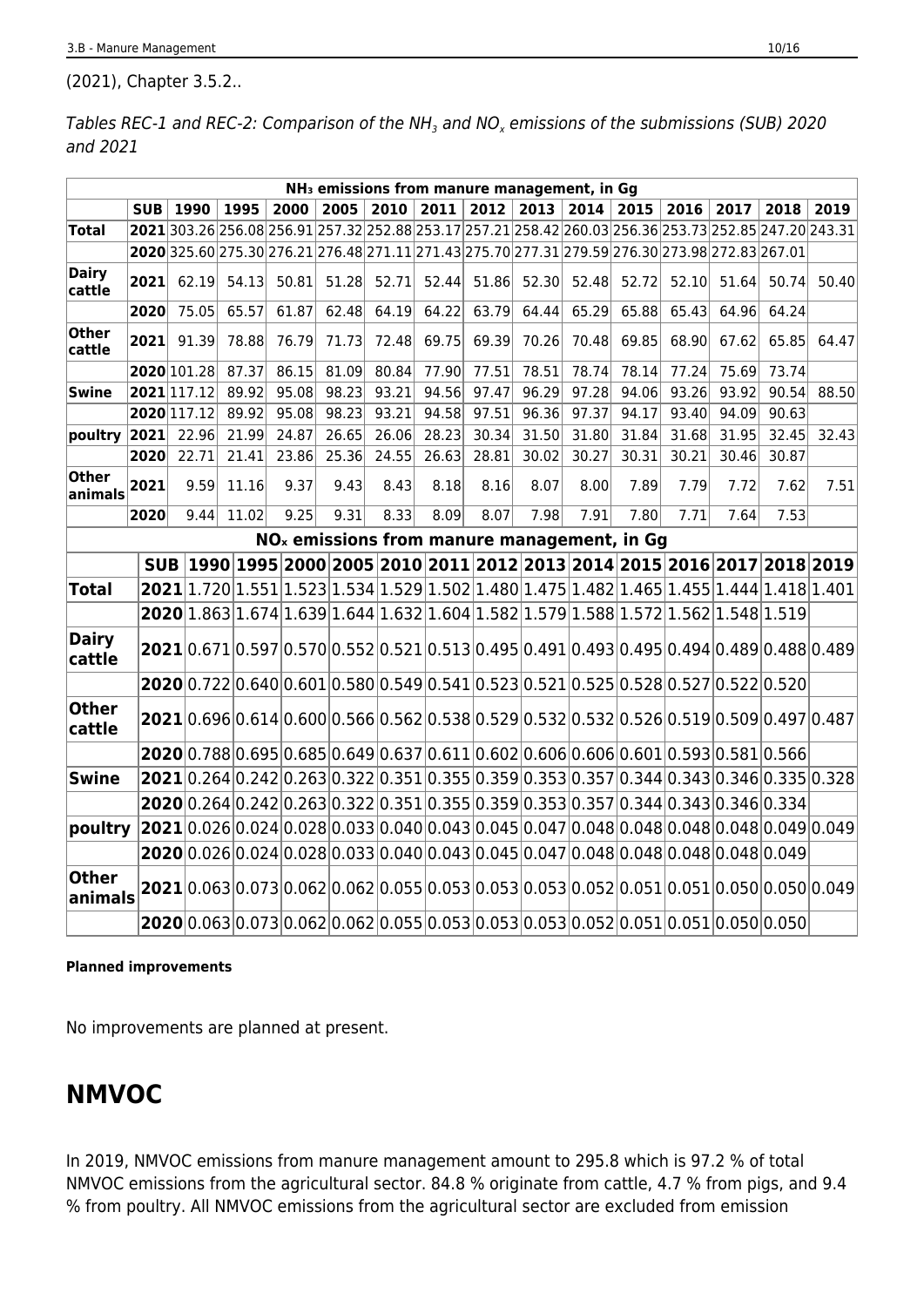(2021), Chapter 3.5.2..

Tables REC-1 and REC-2: Comparison of the NH $_{\text{\tiny{3}}}$  and NO $_{\text{\tiny{x}}}$  emissions of the submissions (SUB) 2020 and 2021

|                        |            |             |       |       |       |       | NH <sub>3</sub> emissions from manure management, in Gg                                                |       |       |       |       |       |       |       |       |
|------------------------|------------|-------------|-------|-------|-------|-------|--------------------------------------------------------------------------------------------------------|-------|-------|-------|-------|-------|-------|-------|-------|
|                        | <b>SUB</b> | 1990        | 1995  | 2000  | 2005  | 2010  | 2011                                                                                                   | 2012  | 2013  | 2014  | 2015  | 2016  | 2017  | 2018  | 2019  |
| Total                  |            |             |       |       |       |       | 2021 303.26 256.08 256.91 257.32 252.88 253.17 257.21 258.42 260.03 256.36 253.73 252.85 247.20 243.31 |       |       |       |       |       |       |       |       |
|                        |            |             |       |       |       |       | 2020 325.60 275.30 276.21 276.48 271.11 271.43 275.70 277.31 279.59 276.30 273.98 272.83 267.01        |       |       |       |       |       |       |       |       |
| <b>Dairy</b><br>cattle | 2021       | 62.19       | 54.13 | 50.81 | 51.28 | 52.71 | 52.44                                                                                                  | 51.86 | 52.30 | 52.48 | 52.72 | 52.10 | 51.64 | 50.74 | 50.40 |
|                        | 2020       | 75.05       | 65.57 | 61.87 | 62.48 | 64.19 | 64.22                                                                                                  | 63.79 | 64.44 | 65.29 | 65.88 | 65.43 | 64.96 | 64.24 |       |
| Other<br>cattle        | 2021       | 91.39       | 78.88 | 76.79 | 71.73 | 72.48 | 69.75                                                                                                  | 69.39 | 70.26 | 70.48 | 69.85 | 68.90 | 67.62 | 65.85 | 64.47 |
|                        |            | 2020 101.28 | 87.37 | 86.15 | 81.09 | 80.84 | 77.90                                                                                                  | 77.51 | 78.51 | 78.74 | 78.14 | 77.24 | 75.69 | 73.74 |       |
| <b>Swine</b>           |            | 2021 117.12 | 89.92 | 95.08 | 98.23 | 93.21 | 94.56                                                                                                  | 97.47 | 96.29 | 97.28 | 94.06 | 93.26 | 93.92 | 90.54 | 88.50 |
|                        |            | 2020 117.12 | 89.92 | 95.08 | 98.23 | 93.21 | 94.58                                                                                                  | 97.51 | 96.36 | 97.37 | 94.17 | 93.40 | 94.09 | 90.63 |       |
| poultry                | 2021       | 22.96       | 21.99 | 24.87 | 26.65 | 26.06 | 28.23                                                                                                  | 30.34 | 31.50 | 31.80 | 31.84 | 31.68 | 31.95 | 32.45 | 32.43 |
|                        | 2020       | 22.71       | 21.41 | 23.86 | 25.36 | 24.55 | 26.63                                                                                                  | 28.81 | 30.02 | 30.27 | 30.31 | 30.21 | 30.46 | 30.87 |       |
| Other<br>animals       | 2021       | 9.59        | 11.16 | 9.37  | 9.43  | 8.43  | 8.18                                                                                                   | 8.16  | 8.07  | 8.00  | 7.89  | 7.79  | 7.72  | 7.62  | 7.51  |
|                        | 2020       | 9.44        | 11.02 | 9.25  | 9.31  | 8.33  | 8.09                                                                                                   | 8.07  | 7.98  | 7.91  | 7.80  | 7.71  | 7.64  | 7.53  |       |
|                        |            |             |       |       |       |       | NO <sub>x</sub> emissions from manure management, in Gg                                                |       |       |       |       |       |       |       |       |
|                        |            |             |       |       |       |       | SUB 1990 1995 2000 2005 2010 2011 2012 2013 2014 2015 2016 2017 2018 2019                              |       |       |       |       |       |       |       |       |
| <b>Total</b>           |            |             |       |       |       |       | $2021 1.720 1.551 1.523 1.534 1.529 1.502 1.480 1.475 1.482 1.465 1.455 1.444 1.418 1.401$             |       |       |       |       |       |       |       |       |
|                        |            |             |       |       |       |       | $2020 1.863 1.674 1.639 1.644 1.632 1.604 1.582 1.579 1.588 1.572 1.562 1.548 1.519$                   |       |       |       |       |       |       |       |       |
| <b>Dairy</b><br>cattle |            |             |       |       |       |       | $2021 0.671 0.597 0.570 0.552 0.521 0.513 0.495 0.491 0.493 0.495 0.494 0.489 0.488 0.489 $            |       |       |       |       |       |       |       |       |
|                        |            |             |       |       |       |       | $2020 0.722 0.640 0.601 0.580 0.549 0.541 0.523 0.521 0.525 0.528 0.527 0.522 0.520$                   |       |       |       |       |       |       |       |       |
| <b>Other</b><br>cattle |            |             |       |       |       |       | $2021 0.696 0.614 0.600 0.566 0.562 0.538 0.529 0.532 0.532 0.526 0.519 0.509 0.497 0.487$             |       |       |       |       |       |       |       |       |
|                        |            |             |       |       |       |       | $2020 0.788 0.695 0.685 0.649 0.637 0.611 0.602 0.606 0.606 0.601 0.593 0.581 0.566$                   |       |       |       |       |       |       |       |       |
| Swine                  |            |             |       |       |       |       | $2021 0.264 0.242 0.263 0.322 0.351 0.355 0.359 0.353 0.357 0.344 0.343 0.346 0.335 0.328$             |       |       |       |       |       |       |       |       |
|                        |            |             |       |       |       |       | $2020 0.264 0.242 0.263 0.322 0.351 0.355 0.359 0.353 0.357 0.344 0.343 0.346 0.334$                   |       |       |       |       |       |       |       |       |
| poultry                |            |             |       |       |       |       | $2021 0.026 0.024 0.028 0.033 0.040 0.043 0.045 0.047 0.048 0.048 0.048 0.048 0.049 0.049$             |       |       |       |       |       |       |       |       |
|                        |            |             |       |       |       |       | $2020 0.026 0.024 0.028 0.033 0.040 0.043 0.045 0.047 0.048 0.048 0.048 0.048 0.049$                   |       |       |       |       |       |       |       |       |
| <b>Other</b>           |            |             |       |       |       |       |                                                                                                        |       |       |       |       |       |       |       |       |
| animals                |            |             |       |       |       |       | $[2021]0.063]0.073]0.062]0.062]0.055]0.053]0.053]0.053]0.052]0.051]0.051]0.050]0.050]0.049]$           |       |       |       |       |       |       |       |       |
|                        |            |             |       |       |       |       | $2020 0.063 0.073 0.062 0.062 0.055 0.053 0.053 0.053 0.052 0.051 0.051 0.050 0.050$                   |       |       |       |       |       |       |       |       |

#### **Planned improvements**

No improvements are planned at present.

# **NMVOC**

In 2019, NMVOC emissions from manure management amount to 295.8 which is 97.2 % of total NMVOC emissions from the agricultural sector. 84.8 % originate from cattle, 4.7 % from pigs, and 9.4 % from poultry. All NMVOC emissions from the agricultural sector are excluded from emission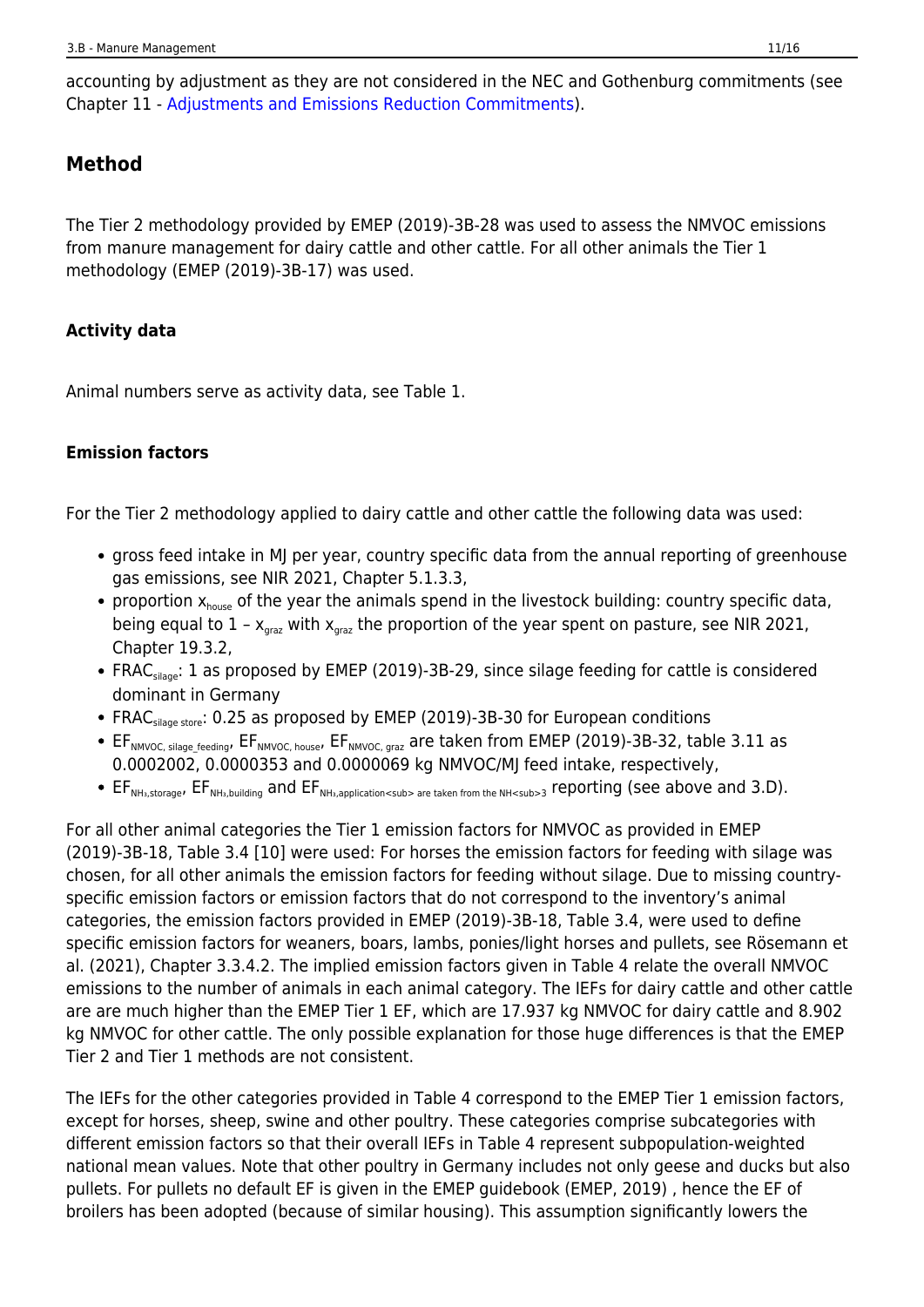accounting by adjustment as they are not considered in the NEC and Gothenburg commitments (see Chapter 11 - [Adjustments and Emissions Reduction Commitments](https://iir.umweltbundesamt.de/2021/general/adjustments/adjustment_de-c)).

# **Method**

The Tier 2 methodology provided by EMEP (2019)-3B-28 was used to assess the NMVOC emissions from manure management for dairy cattle and other cattle. For all other animals the Tier 1 methodology (EMEP (2019)-3B-17) was used.

### **Activity data**

Animal numbers serve as activity data, see Table 1.

### **Emission factors**

For the Tier 2 methodology applied to dairy cattle and other cattle the following data was used:

- gross feed intake in MJ per year, country specific data from the annual reporting of greenhouse gas emissions, see NIR 2021, Chapter 5.1.3.3,
- proportion  $x_{\text{house}}$  of the year the animals spend in the livestock building: country specific data, being equal to  $1 - x_{\text{grav}}$  with  $x_{\text{grav}}$  the proportion of the year spent on pasture, see NIR 2021, Chapter 19.3.2,
- FRAC<sub>silage</sub>: 1 as proposed by EMEP (2019)-3B-29, since silage feeding for cattle is considered dominant in Germany
- FRAC<sub>silage store</sub>: 0.25 as proposed by EMEP (2019)-3B-30 for European conditions
- EF<sub>NMVOC, silage\_feeding</sub>, EF<sub>NMVOC, house</sub>, EF<sub>NMVOC, graz</sub> are taken from EMEP (2019)-3B-32, table 3.11 as 0.0002002, 0.0000353 and 0.0000069 kg NMVOC/MJ feed intake, respectively,
- EF<sub>NHa,storage</sub>, EF<sub>NHa,building</sub> and EF<sub>NHa,application<sub> are taken from the NH<sub>3 reporting (see above and 3.D).</sub>

For all other animal categories the Tier 1 emission factors for NMVOC as provided in EMEP (2019)-3B-18, Table 3.4 [10] were used: For horses the emission factors for feeding with silage was chosen, for all other animals the emission factors for feeding without silage. Due to missing countryspecific emission factors or emission factors that do not correspond to the inventory's animal categories, the emission factors provided in EMEP (2019)-3B-18, Table 3.4, were used to define specific emission factors for weaners, boars, lambs, ponies/light horses and pullets, see Rösemann et al. (2021), Chapter 3.3.4.2. The implied emission factors given in Table 4 relate the overall NMVOC emissions to the number of animals in each animal category. The IEFs for dairy cattle and other cattle are are much higher than the EMEP Tier 1 EF, which are 17.937 kg NMVOC for dairy cattle and 8.902 kg NMVOC for other cattle. The only possible explanation for those huge differences is that the EMEP Tier 2 and Tier 1 methods are not consistent.

The IEFs for the other categories provided in Table 4 correspond to the EMEP Tier 1 emission factors, except for horses, sheep, swine and other poultry. These categories comprise subcategories with different emission factors so that their overall IEFs in Table 4 represent subpopulation-weighted national mean values. Note that other poultry in Germany includes not only geese and ducks but also pullets. For pullets no default EF is given in the EMEP guidebook (EMEP, 2019) , hence the EF of broilers has been adopted (because of similar housing). This assumption significantly lowers the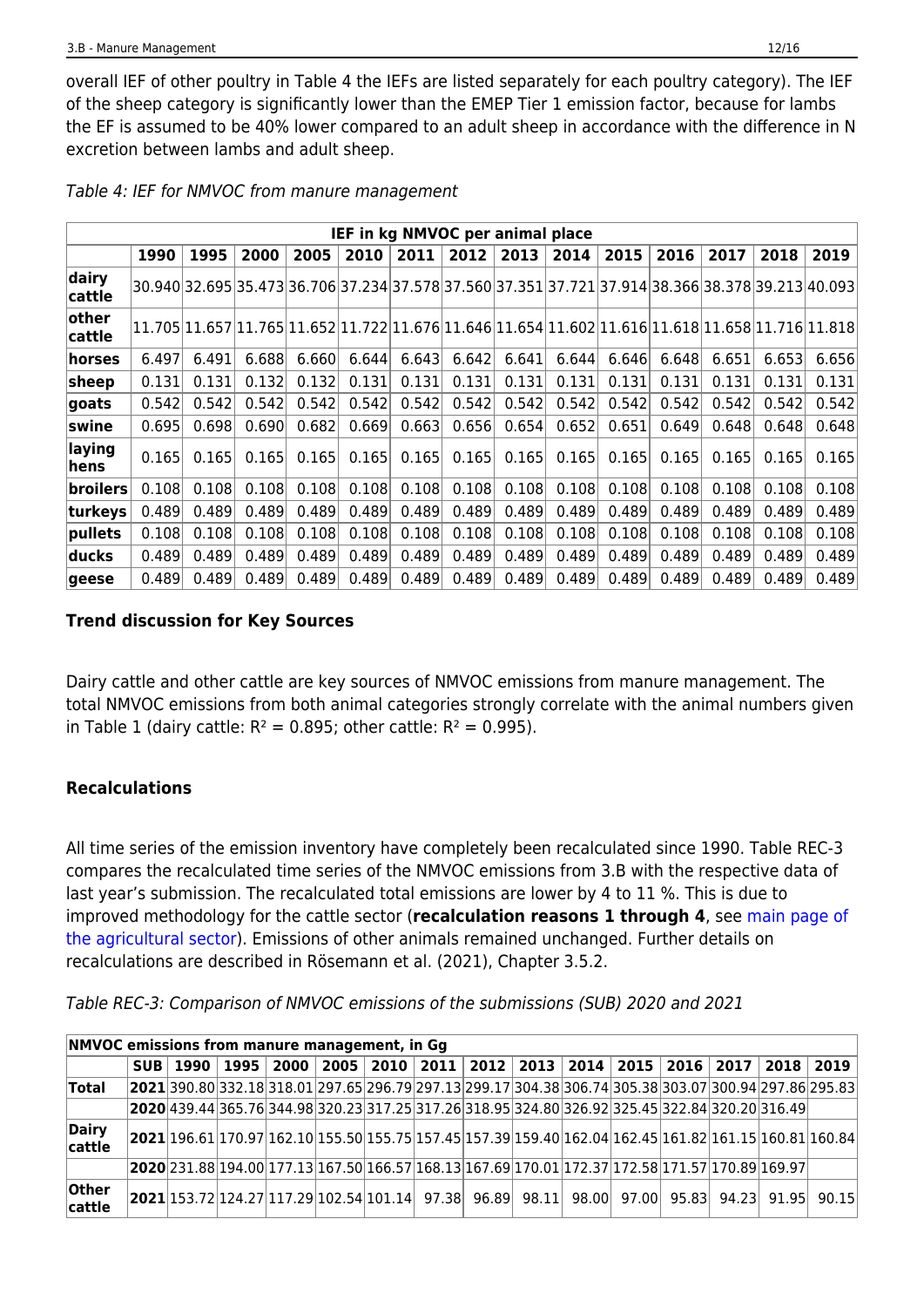overall IEF of other poultry in Table 4 the IEFs are listed separately for each poultry category). The IEF of the sheep category is significantly lower than the EMEP Tier 1 emission factor, because for lambs the EF is assumed to be 40% lower compared to an adult sheep in accordance with the difference in N excretion between lambs and adult sheep.

|                  |       |       |       |       |       |       | IEF in kg NMVOC per animal place |       |       |       |       |       |       |                                                                                                   |
|------------------|-------|-------|-------|-------|-------|-------|----------------------------------|-------|-------|-------|-------|-------|-------|---------------------------------------------------------------------------------------------------|
|                  | 1990  | 1995  | 2000  | 2005  | 2010  | 2011  | 2012                             | 2013  | 2014  | 2015  | 2016  | 2017  | 2018  | 2019                                                                                              |
| dairy<br> cattle |       |       |       |       |       |       |                                  |       |       |       |       |       |       | 30.940 32.695 35.473 36.706 37.234 37.578 37.560 37.351 37.721 37.914 38.366 38.378 39.213 40.093 |
| other<br> cattle |       |       |       |       |       |       |                                  |       |       |       |       |       |       | 11.705 11.657 11.765 11.652 11.722 11.676 11.646 11.654 11.602 11.616 11.618 11.658 11.716 11.818 |
| horses           | 6.497 | 6.491 | 6.688 | 6.660 | 6.644 | 6.643 | 6.642                            | 6.641 | 6.644 | 6.646 | 6.648 | 6.651 | 6.653 | 6.656                                                                                             |
| $ {\sf sheep} $  | 0.131 | 0.131 | 0.132 | 0.132 | 0.131 | 0.131 | 0.131                            | 0.131 | 0.131 | 0.131 | 0.131 | 0.131 | 0.131 | 0.131                                                                                             |
| goats            | 0.542 | 0.542 | 0.542 | 0.542 | 0.542 | 0.542 | 0.542                            | 0.542 | 0.542 | 0.542 | 0.542 | 0.542 | 0.542 | 0.542                                                                                             |
| swine            | 0.695 | 0.698 | 0.690 | 0.682 | 0.669 | 0.663 | 0.656                            | 0.654 | 0.652 | 0.651 | 0.649 | 0.648 | 0.648 | 0.648                                                                                             |
| laying<br>hens   | 0.165 | 0.165 | 0.165 | 0.165 | 0.165 | 0.165 | 0.165                            | 0.165 | 0.165 | 0.165 | 0.165 | 0.165 | 0.165 | 0.165                                                                                             |
| broilers         | 0.108 | 0.108 | 0.108 | 0.108 | 0.108 | 0.108 | 0.108                            | 0.108 | 0.108 | 0.108 | 0.108 | 0.108 | 0.108 | 0.108                                                                                             |
| turkeys          | 0.489 | 0.489 | 0.489 | 0.489 | 0.489 | 0.489 | 0.489                            | 0.489 | 0.489 | 0.489 | 0.489 | 0.489 | 0.489 | 0.489                                                                                             |
| pullets          | 0.108 | 0.108 | 0.108 | 0.108 | 0.108 | 0.108 | 0.108                            | 0.108 | 0.108 | 0.108 | 0.108 | 0.108 | 0.108 | 0.108                                                                                             |
| ducks            | 0.489 | 0.489 | 0.489 | 0.489 | 0.489 | 0.489 | 0.489                            | 0.489 | 0.489 | 0.489 | 0.489 | 0.489 | 0.489 | 0.489                                                                                             |
| geese            | 0.489 | 0.489 | 0.489 | 0.489 | 0.489 | 0.489 | 0.489                            | 0.489 | 0.489 | 0.489 | 0.489 | 0.489 | 0.489 | 0.489                                                                                             |

Table 4: IEF for NMVOC from manure management

### **Trend discussion for Key Sources**

Dairy cattle and other cattle are key sources of NMVOC emissions from manure management. The total NMVOC emissions from both animal categories strongly correlate with the animal numbers given in Table 1 (dairy cattle:  $R^2 = 0.895$ ; other cattle:  $R^2 = 0.995$ ).

### **Recalculations**

All time series of the emission inventory have completely been recalculated since 1990. Table REC-3 compares the recalculated time series of the NMVOC emissions from 3.B with the respective data of last year's submission. The recalculated total emissions are lower by 4 to 11 %. This is due to improved methodology for the cattle sector (**recalculation reasons 1 through 4**, see [main page of](https://iir.umweltbundesamt.de/2021/sector/agriculture/start) [the agricultural sector](https://iir.umweltbundesamt.de/2021/sector/agriculture/start)). Emissions of other animals remained unchanged. Further details on recalculations are described in Rösemann et al. (2021), Chapter 3.5.2.

Table REC-3: Comparison of NMVOC emissions of the submissions (SUB) 2020 and 2021

| NMVOC emissions from manure management, in Gg |  |                                                                                                                                                                                                                 |  |  |  |  |  |                                                                                                            |
|-----------------------------------------------|--|-----------------------------------------------------------------------------------------------------------------------------------------------------------------------------------------------------------------|--|--|--|--|--|------------------------------------------------------------------------------------------------------------|
|                                               |  | SUB 1990 1995 2000 2005 2010 2011 2012 2013 2014 2015 2016 2017 2018 2019                                                                                                                                       |  |  |  |  |  |                                                                                                            |
| Total                                         |  |                                                                                                                                                                                                                 |  |  |  |  |  | 2021 390.80 332.18 318.01 297.65 296.79 297.13 299.17 304.38 306.74 305.38 303.07 300.94 297.86 295.83     |
|                                               |  | 2020 439.44 365.76 344.98 320.23 317.25 317.26 318.95 324.80 326.92 325.45 322.84 320.20 316.49                                                                                                                 |  |  |  |  |  |                                                                                                            |
| <b>Dairy</b><br>cattle                        |  |                                                                                                                                                                                                                 |  |  |  |  |  | $ 2021 196.61 170.97 162.10 155.50 155.75 157.45 157.39 159.40 162.04 162.45 161.82 161.15 160.81 160.84 $ |
|                                               |  | 2020 231.88 194.00 177.13 167.50 166.57 168.13 167.69 170.01 172.37 172.58 171.57 170.89 169.97                                                                                                                 |  |  |  |  |  |                                                                                                            |
| Other<br>cattle                               |  | $\vert$ 2021 $\vert$ 153.72 $\vert$ 124.27 $\vert$ 117.29 $\vert$ 102.54 $\vert$ 101.14 $\vert$ 97.38 $\vert$ 96.89 $\vert$ 98.11 $\vert$ 98.00 $\vert$ 97.00 $\vert$ 95.83 $\vert$ 94.23 $\vert$ 91.95 $\vert$ |  |  |  |  |  | 90.15                                                                                                      |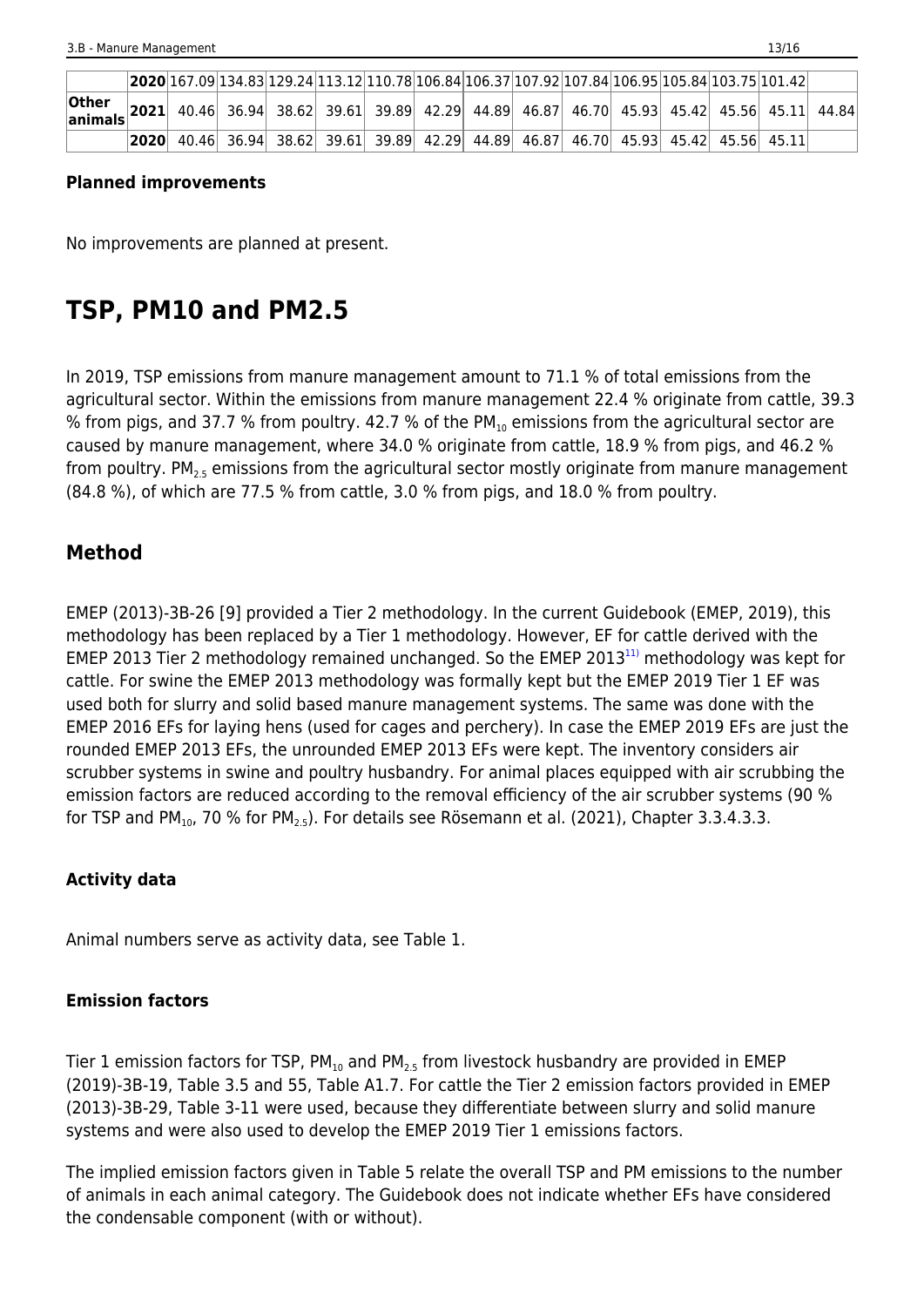|                                                                                                       |      | $[2020 167.09 134.83 129.24 113.12 110.78 106.84 106.37 107.92 107.84 106.95 105.84 103.75 101.42]$ |  |  |  |  |  |                                                                               |  |
|-------------------------------------------------------------------------------------------------------|------|-----------------------------------------------------------------------------------------------------|--|--|--|--|--|-------------------------------------------------------------------------------|--|
| <b>Other 2021</b> 40.46 36.94 38.62 39.61 39.89 42.29 44.89 46.87 46.70 45.93 45.42 45.56 45.11 44.84 |      |                                                                                                     |  |  |  |  |  |                                                                               |  |
|                                                                                                       | 2020 |                                                                                                     |  |  |  |  |  | 40.46 36.94 38.62 39.61 39.89 42.29 44.89 46.87 46.70 45.93 45.42 45.56 45.11 |  |

### **Planned improvements**

No improvements are planned at present.

# **TSP, PM10 and PM2.5**

In 2019, TSP emissions from manure management amount to 71.1 % of total emissions from the agricultural sector. Within the emissions from manure management 22.4 % originate from cattle, 39.3 % from pigs, and 37.7 % from poultry. 42.7 % of the PM $_{10}$  emissions from the agricultural sector are caused by manure management, where 34.0 % originate from cattle, 18.9 % from pigs, and 46.2 % from poultry. PM<sub>25</sub> emissions from the agricultural sector mostly originate from manure management (84.8 %), of which are 77.5 % from cattle, 3.0 % from pigs, and 18.0 % from poultry.

### **Method**

EMEP (2013)-3B-26 [9] provided a Tier 2 methodology. In the current Guidebook (EMEP, 2019), this methodology has been replaced by a Tier 1 methodology. However, EF for cattle derived with the EMEP 2013 Tier 2 methodology remained unchanged. So the EMEP 2013<sup>[11\)](#page--1-0)</sup> methodology was kept for cattle. For swine the EMEP 2013 methodology was formally kept but the EMEP 2019 Tier 1 EF was used both for slurry and solid based manure management systems. The same was done with the EMEP 2016 EFs for laying hens (used for cages and perchery). In case the EMEP 2019 EFs are just the rounded EMEP 2013 EFs, the unrounded EMEP 2013 EFs were kept. The inventory considers air scrubber systems in swine and poultry husbandry. For animal places equipped with air scrubbing the emission factors are reduced according to the removal efficiency of the air scrubber systems (90 % for TSP and PM<sub>10</sub>, 70 % for PM<sub>2.5</sub>). For details see Rösemann et al. (2021), Chapter 3.3.4.3.3.

### **Activity data**

Animal numbers serve as activity data, see Table 1.

### **Emission factors**

Tier 1 emission factors for TSP,  $PM_{10}$  and  $PM_{2.5}$  from livestock husbandry are provided in EMEP (2019)-3B-19, Table 3.5 and 55, Table A1.7. For cattle the Tier 2 emission factors provided in EMEP (2013)-3B-29, Table 3-11 were used, because they differentiate between slurry and solid manure systems and were also used to develop the EMEP 2019 Tier 1 emissions factors.

The implied emission factors given in Table 5 relate the overall TSP and PM emissions to the number of animals in each animal category. The Guidebook does not indicate whether EFs have considered the condensable component (with or without).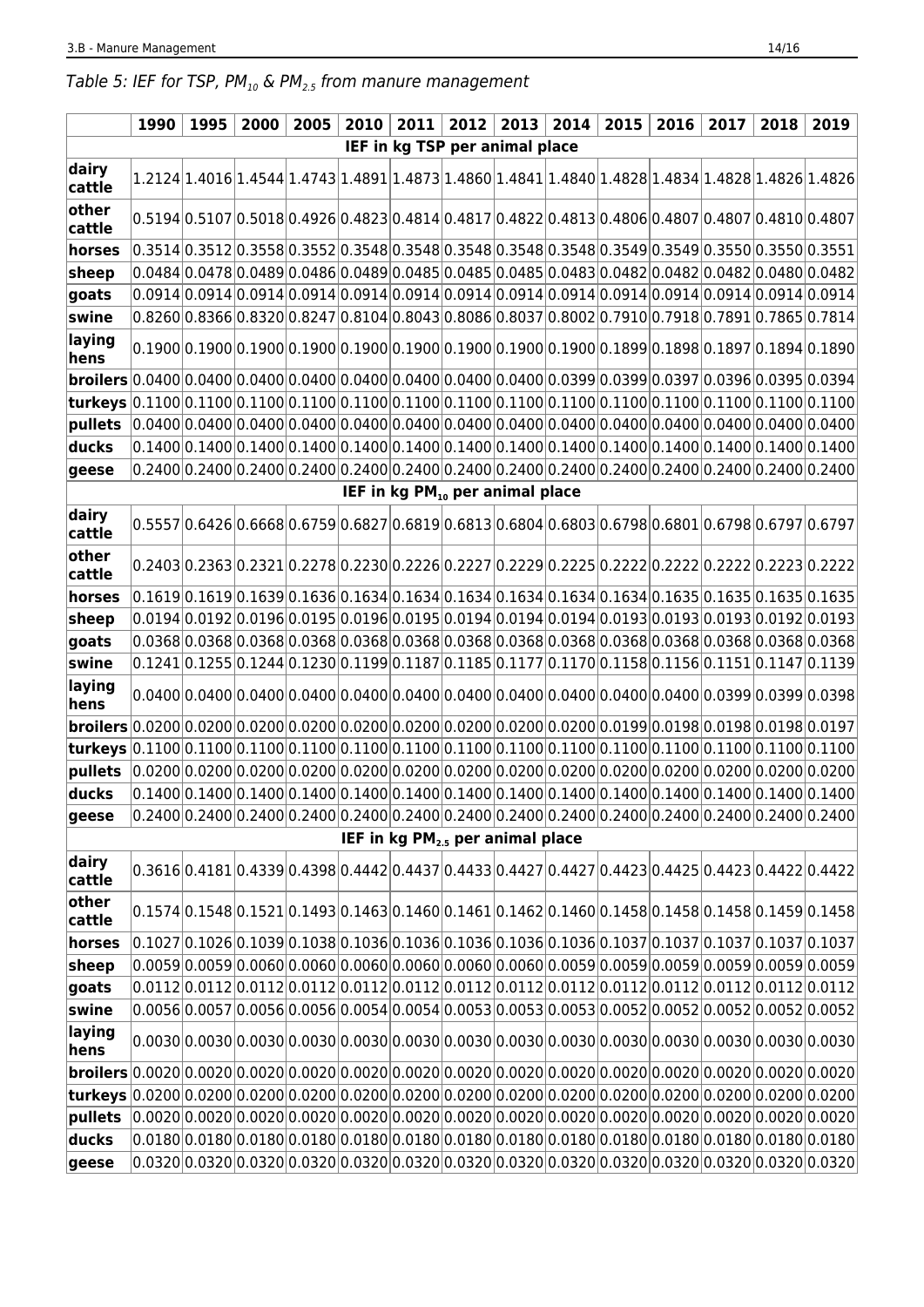# Table 5: IEF for TSP,  $PM_{10}$  &  $PM_{2.5}$  from manure management

|                                                                                                                                                                                                                                           |  | 1990   1995 | 2000 | 2005                                                                                                                                                                                                                           | 2010 | 2011 |                                | $2012$   2013   2014 |  | 2015 | 2016 | 2017 | 2018 | 2019 |
|-------------------------------------------------------------------------------------------------------------------------------------------------------------------------------------------------------------------------------------------|--|-------------|------|--------------------------------------------------------------------------------------------------------------------------------------------------------------------------------------------------------------------------------|------|------|--------------------------------|----------------------|--|------|------|------|------|------|
|                                                                                                                                                                                                                                           |  |             |      |                                                                                                                                                                                                                                |      |      | IEF in kg TSP per animal place |                      |  |      |      |      |      |      |
| dairy<br>cattle                                                                                                                                                                                                                           |  |             |      | $1.2124 1.4016 1.4544 1.4743 1.4891 1.4873 1.4860 1.4841 1.4840 1.4828 1.4834 1.4828 1.4826 1.4826 1.4826 $                                                                                                                    |      |      |                                |                      |  |      |      |      |      |      |
| other<br>cattle                                                                                                                                                                                                                           |  |             |      | $0.5194 0.5107 0.5018 0.4926 0.4823 0.4814 0.4817 0.4822 0.4813 0.4806 0.4807 0.4807 0.4810 0.4807$                                                                                                                            |      |      |                                |                      |  |      |      |      |      |      |
| horses                                                                                                                                                                                                                                    |  |             |      | $ 0.3514 0.3512 0.3558 0.3552 0.3548 0.3548 0.3548 0.3548 0.3548 0.3549 0.3549 0.3550 0.3550 0.3551 $                                                                                                                          |      |      |                                |                      |  |      |      |      |      |      |
| $ $ sheep                                                                                                                                                                                                                                 |  |             |      | $ 0.0484 0.0478 0.0489 0.0486 0.0489 0.0485 0.0485 0.0485 0.0483 0.0482 0.0482 0.0482 0.0482 0.0480 0.0482 0.0483 0.0483 0.0482 0.0483 0.0482 0.0483 0.0483 0.0483 0.0483 0.0483 0.0483 0.0483 0.0483 0.0483 0.0483 0.0483 0.$ |      |      |                                |                      |  |      |      |      |      |      |
| goats                                                                                                                                                                                                                                     |  |             |      | $ 0.0914 0.0914 0.0914 0.0914 0.0914 0.0914 0.0914 0.0914 0.0914 0.0914 0.0914 0.0914 0.0914 0.0914 0.0914 0.0914 0.0914 0.0914 0.0914 0.0914 0.0914 0.0914 0.0914 0.0914 0.0914 0.0914 0.0914 0.0914 0.0914 0.0914 0.0914 0.$ |      |      |                                |                      |  |      |      |      |      |      |
| swine                                                                                                                                                                                                                                     |  |             |      | $ 0.8260 0.8366 0.8320 0.8247 0.8104 0.8043 0.8086 0.8037 0.8002 0.7910 0.7918 0.7891 0.7865 0.7814$                                                                                                                           |      |      |                                |                      |  |      |      |      |      |      |
| laying<br>hens                                                                                                                                                                                                                            |  |             |      | $ 0.1900 0.1900 0.1900 0.1900 0.1900 0.1900 0.1900 0.1900 0.1900 0.1899 0.1898 0.1897 0.1894 0.1890 0.1900 0.1900 0.1900 0.1900 0.1900 0.1900 0.1900 0.1900 0.1900 0.1900 0.1900 0.1900 0.1900 0.1900 0.1900 0.1900 0.1900 0.$ |      |      |                                |                      |  |      |      |      |      |      |
| <b>broilers</b> 0.0400 0.0400 0.0400 0.0400 0.0400 0.0400 0.0400 0.0400 0.0399 0.0399 0.0397 0.0396 0.0395 0.0394                                                                                                                         |  |             |      |                                                                                                                                                                                                                                |      |      |                                |                      |  |      |      |      |      |      |
| $ \textbf{turkeys} 0.1100 0.1100 0.1100 0.1100 0.1100 0.1100 0.1100 0.1100 0.1100 0.1100 0.1100 0.1100 0.1100 0.1100 0.1100 0.1100 0.1100 0.1100 0.1100 0.1100 0.1100 0.1100 0.1100 0.1100 0.1100 0.1100 0.1100 0.1100 0.1100 0.1100 0.1$ |  |             |      |                                                                                                                                                                                                                                |      |      |                                |                      |  |      |      |      |      |      |
| pullets                                                                                                                                                                                                                                   |  |             |      | $[0.0400]0.0400]0.0400]0.0400]0.0400]0.0400]0.0400]0.0400]0.0400]0.0400]0.0400]0.0400]0.0400]0.0400]0.0400]$                                                                                                                   |      |      |                                |                      |  |      |      |      |      |      |
| ducks                                                                                                                                                                                                                                     |  |             |      | $0.1400 0.1400 0.1400 0.1400 0.1400 0.1400 0.1400 0.1400 0.1400 0.1400 0.1400 0.1400 0.1400 0.1400 0.1400 0.1400 0.1400 0.1400 0.1400 0.1400 0.1400 0.1400 0.1400 0.1400 0.1400 0.1400 0.1400 0.1400 0.1400 0.1400 0.1400 0.1$ |      |      |                                |                      |  |      |      |      |      |      |
| $ {\sf geese}$                                                                                                                                                                                                                            |  |             |      | $ 0.2400 0.2400 0.2400 0.2400 0.2400 0.2400 0.2400 0.2400 0.2400 0.2400 0.2400 0.2400 0.2400 0.2400 0.2400 0.2400 0.2400 0.2400 0.2400 0.2400 0.2400 0.2400 0.2400 0.2400 0.2400 0.2400 0.2400 0.2400 0.2400 0.2400 0.2400 0.$ |      |      |                                |                      |  |      |      |      |      |      |
| IEF in kg PM <sub>10</sub> per animal place                                                                                                                                                                                               |  |             |      |                                                                                                                                                                                                                                |      |      |                                |                      |  |      |      |      |      |      |
| dairy<br>cattle                                                                                                                                                                                                                           |  |             |      | $ 0.5557 0.6426 0.6668 0.6759 0.6827 0.6819 0.6813 0.6804 0.6803 0.6798 0.6801 0.6798 0.6797 0.6797 $                                                                                                                          |      |      |                                |                      |  |      |      |      |      |      |
| other<br>cattle                                                                                                                                                                                                                           |  |             |      | $0.2403 0.2363 0.2321 0.2278 0.2230 0.2226 0.2227 0.2229 0.2225 0.2222 0.2222 0.2222 0.2223 0.2222$                                                                                                                            |      |      |                                |                      |  |      |      |      |      |      |
| horses                                                                                                                                                                                                                                    |  |             |      | $ 0.1619 0.1619 0.1639 0.1636 0.1634 0.1634 0.1634 0.1634 0.1634 0.1634 0.1635 0.1635 0.1635 0.1635 0.1635 0.1635 0.1635 0.1635 0.1635 0.1635 0.1635 0.1635 0.1635 0.1635 0.1635 0.1635 0.1635 0.1635 0.1635 0.1635 0.1635 0.$ |      |      |                                |                      |  |      |      |      |      |      |
| sheep                                                                                                                                                                                                                                     |  |             |      | $ 0.0194 0.0192 0.0196 0.0195 0.0196 0.0195 0.0194 0.0194 0.0194 0.0193 0.0193 0.0193 0.0192 0.0193 0.0193 0.0193 0.0193 0.0193 0.0193 0.0193 0.0193 0.0193 0.0193 0.0193 0.0193 0.0193 0.0193 0.0193 0.0193 0.0194 0.0194 0.$ |      |      |                                |                      |  |      |      |      |      |      |
| goats                                                                                                                                                                                                                                     |  |             |      | $ 0.0368 0.0368 0.0368 0.0368 0.0368 0.0368 0.0368 0.0368 0.0368 0.0368 0.0368 0.0368 0.0368 0.0368 0.0368 0.0368 0.0368 0.0368 0.0368 0.0368 0.0368 0.0368 0.0368 0.0368 0.0368 0.0368 0.0368 0.0368 0.0368 0.0368 0.0368 0.$ |      |      |                                |                      |  |      |      |      |      |      |
| swine                                                                                                                                                                                                                                     |  |             |      | $0.1241 0.1255 0.1244 0.1230 0.1199 0.1187 0.1185 0.1177 0.1170 0.1158 0.1156 0.1151 0.1147 0.1139$                                                                                                                            |      |      |                                |                      |  |      |      |      |      |      |
| laying<br>hens                                                                                                                                                                                                                            |  |             |      | $0.0400 0.0400 0.0400 0.0400 0.0400 0.0400 0.0400 0.0400 0.0400 0.0400 0.0400 0.0399 0.0399 0.0398$                                                                                                                            |      |      |                                |                      |  |      |      |      |      |      |
| <b>broilers</b> 0.0200 0.0200 0.0200 0.0200 0.0200 0.0200 0.0200 0.0200 0.0200 0.0199 0.0198 0.0198 0.0198 0.0197                                                                                                                         |  |             |      |                                                                                                                                                                                                                                |      |      |                                |                      |  |      |      |      |      |      |
| $ \textsf{turkeys} 0.1100 0.1100 0.1100 0.1100 0.1100 0.1100 0.1100 0.1100 0.1100 0.1100 0.1100 0.1100 0.1100 0.1100 0.1100 0.1100 0.1100 0.1100 0.1100 0.1100 0.1100 0.1100 0.1100 0.1100 0.1100 0.1100 0.1100 0.1100 0.1100 0.1100 0.1$ |  |             |      |                                                                                                                                                                                                                                |      |      |                                |                      |  |      |      |      |      |      |
| $ p$ ullets $ 0.0200 0.0200 0.0200 0.0200 0.0200 0.0200 0.0200 0.0200 0.0200 0.0200 0.0200 0.0200 0.0200 0.0200 0.0200 0.0200 0.0200 0.0200 0.0200 0.0200 0.0200 0.0200 0.0200 0.0200 0.0200 0.0200 0.0200 0.0200 0.0200 0.020$           |  |             |      |                                                                                                                                                                                                                                |      |      |                                |                      |  |      |      |      |      |      |
| ducks                                                                                                                                                                                                                                     |  |             |      | $ 0.1400 0.1400 0.1400 0.1400 0.1400 0.1400 0.1400 0.1400 0.1400 0.1400 0.1400 0.1400 0.1400 0.1400 0.1400 0.1400 0.1400 0.1400 0.1400 0.1400 0.1400 0.1400 0.1400 0.1400 0.1400 0.1400 0.1400 0.1400 0.1400 0.1400 0.1400 0.$ |      |      |                                |                      |  |      |      |      |      |      |
| geese                                                                                                                                                                                                                                     |  |             |      | $[0.2400 0.2400 0.2400 0.2400 0.2400 0.2400 0.2400 0.2400 0.2400 0.2400 0.2400 0.2400 0.2400 0.2400]$                                                                                                                          |      |      |                                |                      |  |      |      |      |      |      |
| IEF in kg PM <sub>2.5</sub> per animal place                                                                                                                                                                                              |  |             |      |                                                                                                                                                                                                                                |      |      |                                |                      |  |      |      |      |      |      |
| dairy<br>cattle                                                                                                                                                                                                                           |  |             |      | $[0.3616]0.4181]0.4339]0.4398]0.4442]0.4437]0.4433]0.4427]0.4427]0.4423]0.4425]0.4423]0.4422]0.4422]$                                                                                                                          |      |      |                                |                      |  |      |      |      |      |      |
| other<br>cattle                                                                                                                                                                                                                           |  |             |      | $0.1574 0.1548 0.1521 0.1493 0.1463 0.1460 0.1461 0.1462 0.1460 0.1458 0.1458 0.1458 0.1459 0.1459$                                                                                                                            |      |      |                                |                      |  |      |      |      |      |      |
| horses                                                                                                                                                                                                                                    |  |             |      | $ 0.1027 0.1026 0.1039 0.1038 0.1036 0.1036 0.1036 0.1036 0.1036 0.1037 0.1037 0.1037 0.1037 0.1037 0.1037 0.1037 0.1037 0.1037 0.1037 0.1037 0.1037 0.1037 0.1037 0.1037 0.1037 0.1037 0.1037 0.1037 0.1037 0.1037 0.1037 0.$ |      |      |                                |                      |  |      |      |      |      |      |
| sheep                                                                                                                                                                                                                                     |  |             |      | $ 0.0059 0.0059 0.0060 0.0060 0.0060 0.0060 0.0060 0.0060 0.0059 0.0059 0.0059 0.0059 0.0059 0.0059$                                                                                                                           |      |      |                                |                      |  |      |      |      |      |      |
| goats                                                                                                                                                                                                                                     |  |             |      | $0.0112 0.0112 0.0112 0.0112 0.0112 0.0112 0.0112 0.0112 0.0112 0.0112 0.0112 0.0112 0.0112 0.0112 0.0112 0.0112 0.0112 0.0112 0.0112 0.0112 0.0112 0.0112 0.0112 0.0112 0.0112 0.0112 0.0112 0.0112 0.0112 0.0112 0.0112 0.0$ |      |      |                                |                      |  |      |      |      |      |      |
| swine                                                                                                                                                                                                                                     |  |             |      | $0.0056 0.0057 0.0056 0.0056 0.0054 0.0054 0.0053 0.0053 0.0053 0.0052 0.0052 0.0052 0.0052 0.0052 0.0052 0.0052 0.0052 0.0052 0.0052 0.0052 0.0052 0.0052 0.0052 0.0052 0.0052 0.0052 0.0052 0.0052 0.0052 0.0052 0.0052 0.0$ |      |      |                                |                      |  |      |      |      |      |      |
| laying<br>hens                                                                                                                                                                                                                            |  |             |      | $0.0030 0.0030 0.0030 0.0030 0.0030 0.0030 0.0030 0.0030 0.0030 0.0030 0.0030 0.0030 0.0030 0.0030 0.0030 0.0030$                                                                                                              |      |      |                                |                      |  |      |      |      |      |      |
| <b>broilers</b> 0.0020 0.0020 0.0020 0.0020 0.0020 0.0020 0.0020 0.0020 0.0020 0.0020 0.0020 0.0020 0.0020 0.0020 0.0020                                                                                                                  |  |             |      |                                                                                                                                                                                                                                |      |      |                                |                      |  |      |      |      |      |      |
| turkeys 0.0200 0.0200 0.0200 0.0200 0.0200 0.0200 0.0200 0.0200 0.0200 0.0200 0.0200 0.0200 0.0200 0.0200 0.020                                                                                                                           |  |             |      |                                                                                                                                                                                                                                |      |      |                                |                      |  |      |      |      |      |      |
| pullets $ 0.0020 0.0020 0.0020 0.0020 0.0020 0.0020 0.0020 0.0020 0.0020 0.0020 0.0020 0.0020 0.0020 0.0020 0.0020 0.0020 0.0020 0.0020 0.0020 0.0020 0.0020 0.0020 0.0020 0.0020 0.0020 0.0020 0.0020 0.0020 0.0020 0.0020 0$            |  |             |      |                                                                                                                                                                                                                                |      |      |                                |                      |  |      |      |      |      |      |
| ducks                                                                                                                                                                                                                                     |  |             |      | $ 0.0180 0.0180 0.0180 0.0180 0.0180 0.0180 0.0180 0.0180 0.0180 0.0180 0.0180 0.0180 0.0180 0.0180 0.0180 0.0180 0.0180 0.0180 0.0180 0.0180 0.0180 0.0180 0.0180 0.0180 0.0180 0.0180 0.0180 0.0180 0.0180 0.0180 0.0180 0.$ |      |      |                                |                      |  |      |      |      |      |      |
| geese                                                                                                                                                                                                                                     |  |             |      | $ 0.0320 0.0320 0.0320 0.0320 0.0320 0.0320 0.0320 0.0320 0.0320 0.0320 0.0320 0.0320 0.0320 0.0320 0.0320 0.0320 0.0320 0.0320 0.0320 0.0320 0.0320 0.0320 0.0320 0.0320 0.0320 0.0320 0.0320 0.0320 0.0320 0.0320 0.0320 0.$ |      |      |                                |                      |  |      |      |      |      |      |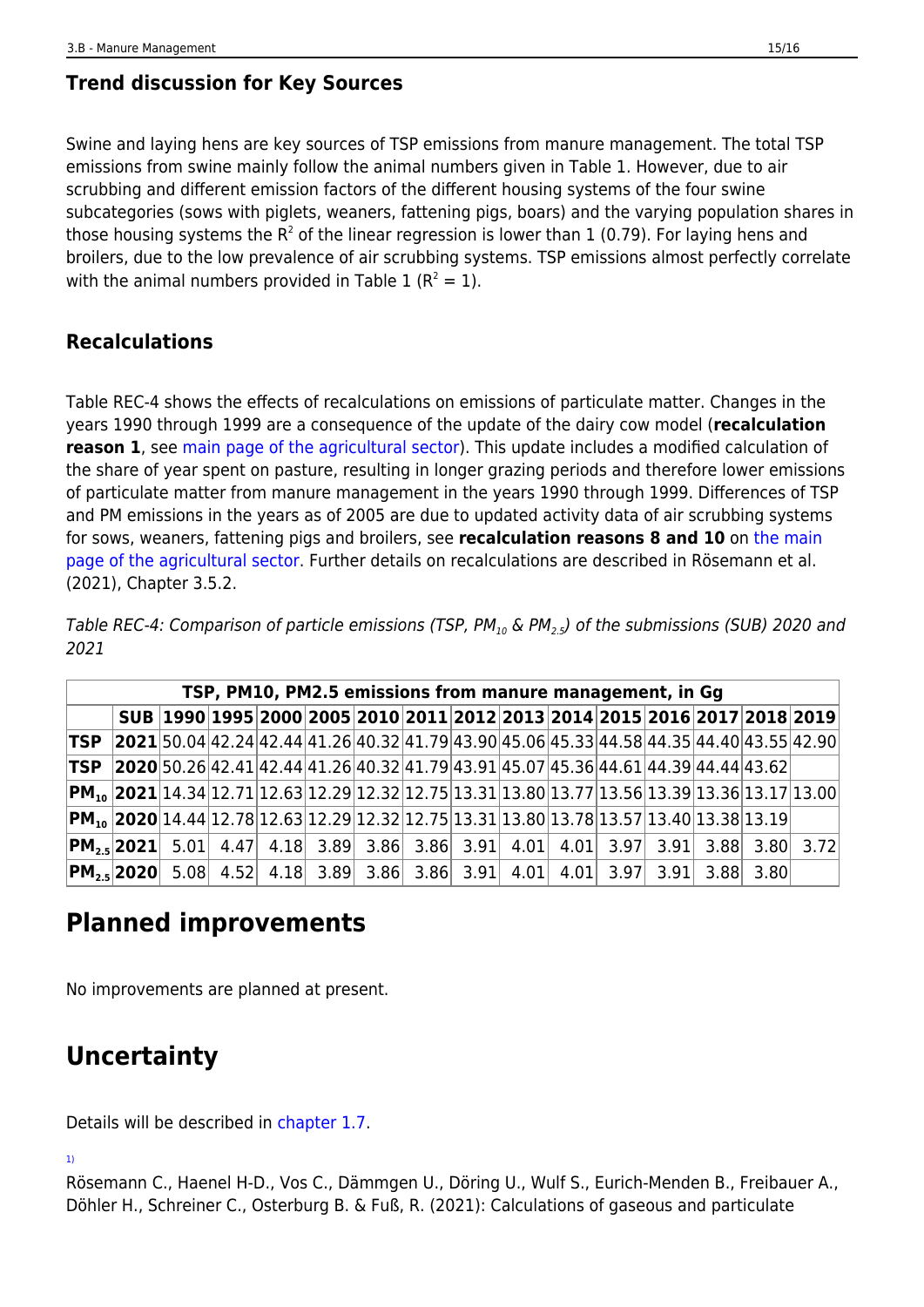# **Trend discussion for Key Sources**

Swine and laying hens are key sources of TSP emissions from manure management. The total TSP emissions from swine mainly follow the animal numbers given in Table 1. However, due to air scrubbing and different emission factors of the different housing systems of the four swine subcategories (sows with piglets, weaners, fattening pigs, boars) and the varying population shares in those housing systems the R<sup>2</sup> of the linear regression is lower than 1 (0.79). For laying hens and broilers, due to the low prevalence of air scrubbing systems. TSP emissions almost perfectly correlate with the animal numbers provided in Table 1 ( $R^2 = 1$ ).

## **Recalculations**

Table REC-4 shows the effects of recalculations on emissions of particulate matter. Changes in the years 1990 through 1999 are a consequence of the update of the dairy cow model (**recalculation reason 1**, see [main page of the agricultural sector\)](https://iir.umweltbundesamt.de/2021/sector/agriculture/start). This update includes a modified calculation of the share of year spent on pasture, resulting in longer grazing periods and therefore lower emissions of particulate matter from manure management in the years 1990 through 1999. Differences of TSP and PM emissions in the years as of 2005 are due to updated activity data of air scrubbing systems for sows, weaners, fattening pigs and broilers, see **recalculation reasons 8 and 10** on [the main](https://iir.umweltbundesamt.de/2021/sector/agriculture/start) [page of the agricultural sector.](https://iir.umweltbundesamt.de/2021/sector/agriculture/start) Further details on recalculations are described in Rösemann et al. (2021), Chapter 3.5.2.

Table REC-4: Comparison of particle emissions (TSP, PM<sub>10</sub> & PM<sub>2.5</sub>) of the submissions (SUB) 2020 and 2021

| TSP, PM10, PM2.5 emissions from manure management, in Gg |  |  |  |  |                                                                                                                |  |  |  |  |  |  |  |  |                                                                                                                 |
|----------------------------------------------------------|--|--|--|--|----------------------------------------------------------------------------------------------------------------|--|--|--|--|--|--|--|--|-----------------------------------------------------------------------------------------------------------------|
|                                                          |  |  |  |  | SUB 1990 1995 2000 2005 2010 2011 2012 2013 2014 2015 2016 2017 2018 2019                                      |  |  |  |  |  |  |  |  |                                                                                                                 |
| <b>TSP</b>                                               |  |  |  |  | $ 2021 50.04 42.24 42.44 41.26 40.32 41.79 43.90 45.06 45.33 44.58 44.35 44.40 43.55 42.90 $                   |  |  |  |  |  |  |  |  |                                                                                                                 |
| <b>TSP</b>                                               |  |  |  |  | $[2020]$ 50.26 $[42.41]$ 42.44 $[41.26]$ 40.32 $[41.79]$ 43.91 $[45.07]$ 45.36 $[44.61]$ 44.39 $[44.44]$ 43.62 |  |  |  |  |  |  |  |  |                                                                                                                 |
|                                                          |  |  |  |  |                                                                                                                |  |  |  |  |  |  |  |  | $ \text{PM}_{10} $ 2021 $ 14.34 12.71 12.63 12.29 12.32 12.75 13.31 13.80 13.77 13.56 13.39 13.36 13.17 13.00 $ |
|                                                          |  |  |  |  | $ \text{PM}_{10} $ 2020 $ 14.44 12.78 12.63 12.29 12.32 12.75 13.31 13.80 13.78 13.57 13.40 13.38 13.19 $      |  |  |  |  |  |  |  |  |                                                                                                                 |
|                                                          |  |  |  |  |                                                                                                                |  |  |  |  |  |  |  |  | <b>PM</b> <sub>2.5</sub> 2021 5.01 4.47 4.18 3.89 3.86 3.86 3.91 4.01 4.01 3.97 3.91 3.88 3.80 3.72             |
|                                                          |  |  |  |  | $ PM,$ , 2020 5.08 4.52 4.18 3.89 3.86 3.86 3.91 4.01 4.01 3.97 3.91 3.88 3.80                                 |  |  |  |  |  |  |  |  |                                                                                                                 |

# **Planned improvements**

No improvements are planned at present.

# **Uncertainty**

Details will be described in [chapter 1.7.](https://iir.umweltbundesamt.de/2021/general/uncertainty_evaluation/start)

[1\)](#page--1-0)

Rösemann C., Haenel H-D., Vos C., Dämmgen U., Döring U., Wulf S., Eurich-Menden B., Freibauer A., Döhler H., Schreiner C., Osterburg B. & Fuß, R. (2021): Calculations of gaseous and particulate